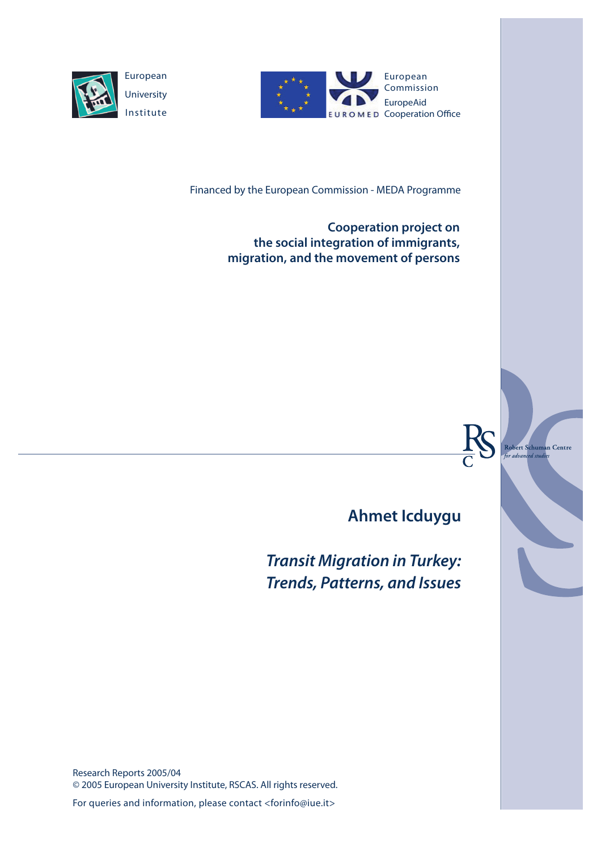

European **University** Institute



Financed by the European Commission - MEDA Programme

**Cooperation project on the social integration of immigrants, migration, and the movement of persons**



d studi

**Ahmet Icduygu**

*Transit Migration in Turkey: Trends, Patterns, and Issues*

Research Reports 2005/04 © 2005 European University Institute, RSCAS. All rights reserved.

For queries and information, please contact <forinfo@iue.it>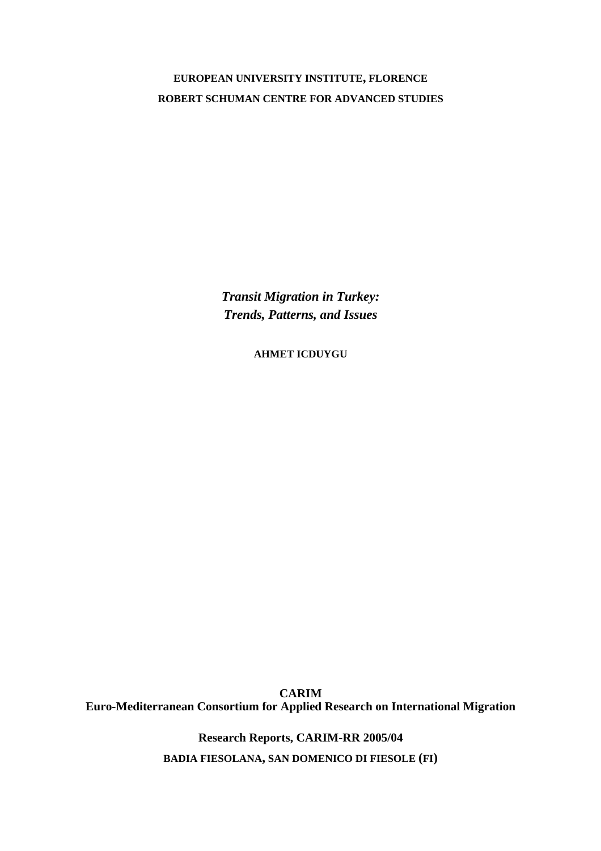**EUROPEAN UNIVERSITY INSTITUTE, FLORENCE ROBERT SCHUMAN CENTRE FOR ADVANCED STUDIES**

> *Transit Migration in Turkey: Trends, Patterns, and Issues*

> > **AHMET ICDUYGU**

**CARIM Euro-Mediterranean Consortium for Applied Research on International Migration** 

**Research Reports, CARIM-RR 2005/04** 

**BADIA FIESOLANA, SAN DOMENICO DI FIESOLE (FI)**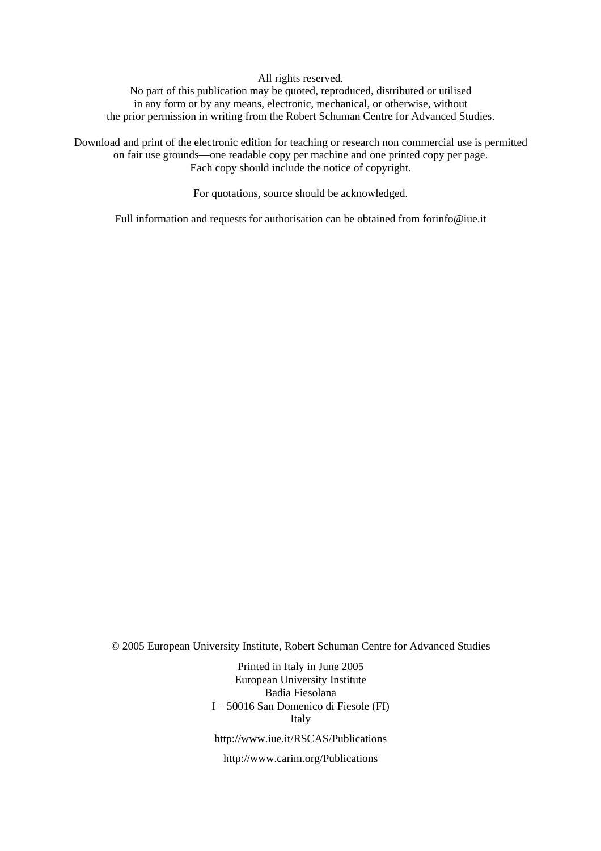All rights reserved.

No part of this publication may be quoted, reproduced, distributed or utilised in any form or by any means, electronic, mechanical, or otherwise, without the prior permission in writing from the Robert Schuman Centre for Advanced Studies.

Download and print of the electronic edition for teaching or research non commercial use is permitted on fair use grounds—one readable copy per machine and one printed copy per page. Each copy should include the notice of copyright.

For quotations, source should be acknowledged.

Full information and requests for authorisation can be obtained from forinfo@iue.it

© 2005 European University Institute, Robert Schuman Centre for Advanced Studies

Printed in Italy in June 2005 European University Institute Badia Fiesolana I – 50016 San Domenico di Fiesole (FI) Italy http://www.iue.it/RSCAS/Publications

http://www.carim.org/Publications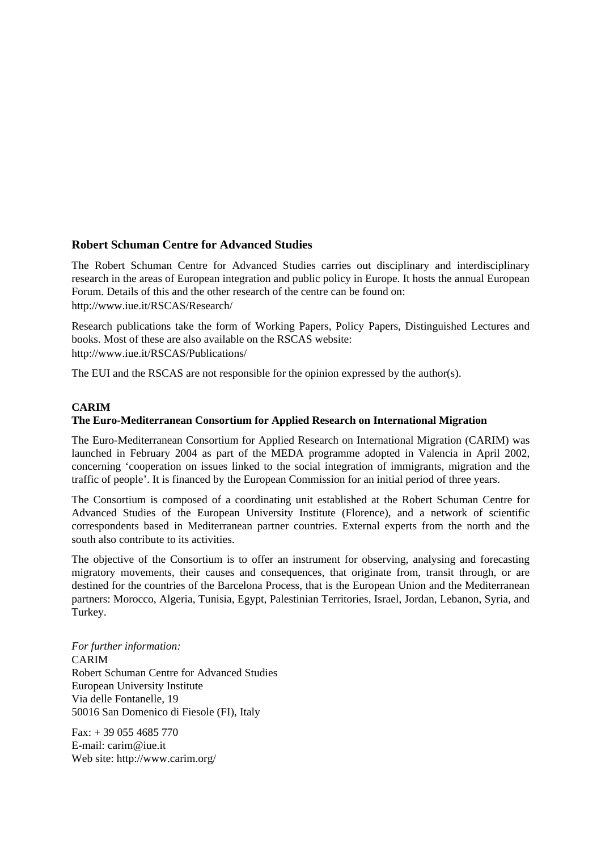# **Robert Schuman Centre for Advanced Studies**

The Robert Schuman Centre for Advanced Studies carries out disciplinary and interdisciplinary research in the areas of European integration and public policy in Europe. It hosts the annual European Forum. Details of this and the other research of the centre can be found on: http://www.iue.it/RSCAS/Research/

Research publications take the form of Working Papers, Policy Papers, Distinguished Lectures and books. Most of these are also available on the RSCAS website: http://www.iue.it/RSCAS/Publications/

The EUI and the RSCAS are not responsible for the opinion expressed by the author(s).

# **CARIM**

# **The Euro-Mediterranean Consortium for Applied Research on International Migration**

The Euro-Mediterranean Consortium for Applied Research on International Migration (CARIM) was launched in February 2004 as part of the MEDA programme adopted in Valencia in April 2002, concerning 'cooperation on issues linked to the social integration of immigrants, migration and the traffic of people'. It is financed by the European Commission for an initial period of three years.

The Consortium is composed of a coordinating unit established at the Robert Schuman Centre for Advanced Studies of the European University Institute (Florence), and a network of scientific correspondents based in Mediterranean partner countries. External experts from the north and the south also contribute to its activities.

The objective of the Consortium is to offer an instrument for observing, analysing and forecasting migratory movements, their causes and consequences, that originate from, transit through, or are destined for the countries of the Barcelona Process, that is the European Union and the Mediterranean partners: Morocco, Algeria, Tunisia, Egypt, Palestinian Territories, Israel, Jordan, Lebanon, Syria, and Turkey.

*For further information:*  CARIM Robert Schuman Centre for Advanced Studies European University Institute Via delle Fontanelle, 19 50016 San Domenico di Fiesole (FI), Italy

 $Fax: + 390554685770$ E-mail: carim@iue.it Web site: http://www.carim.org/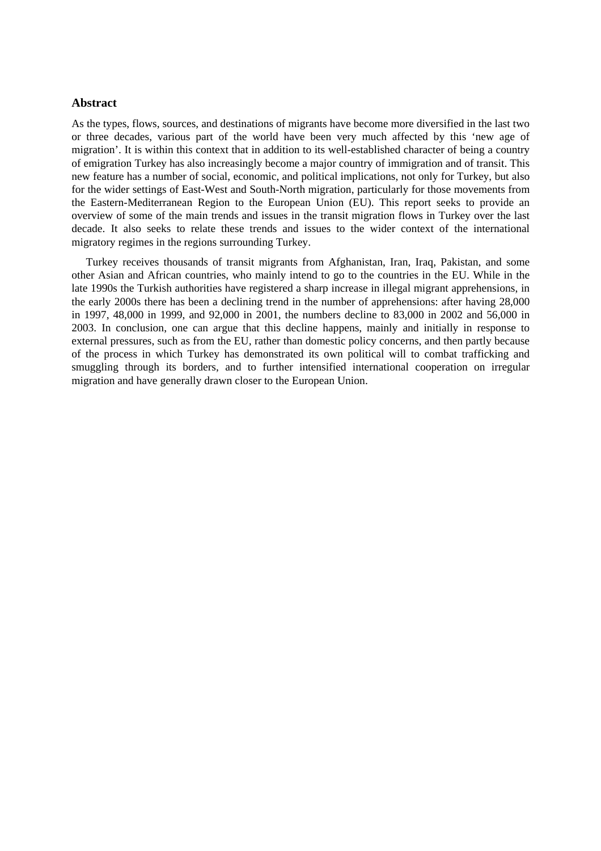### **Abstract**

As the types, flows, sources, and destinations of migrants have become more diversified in the last two or three decades, various part of the world have been very much affected by this 'new age of migration'. It is within this context that in addition to its well-established character of being a country of emigration Turkey has also increasingly become a major country of immigration and of transit. This new feature has a number of social, economic, and political implications, not only for Turkey, but also for the wider settings of East-West and South-North migration, particularly for those movements from the Eastern-Mediterranean Region to the European Union (EU). This report seeks to provide an overview of some of the main trends and issues in the transit migration flows in Turkey over the last decade. It also seeks to relate these trends and issues to the wider context of the international migratory regimes in the regions surrounding Turkey.

Turkey receives thousands of transit migrants from Afghanistan, Iran, Iraq, Pakistan, and some other Asian and African countries, who mainly intend to go to the countries in the EU. While in the late 1990s the Turkish authorities have registered a sharp increase in illegal migrant apprehensions, in the early 2000s there has been a declining trend in the number of apprehensions: after having 28,000 in 1997, 48,000 in 1999, and 92,000 in 2001, the numbers decline to 83,000 in 2002 and 56,000 in 2003. In conclusion, one can argue that this decline happens, mainly and initially in response to external pressures, such as from the EU, rather than domestic policy concerns, and then partly because of the process in which Turkey has demonstrated its own political will to combat trafficking and smuggling through its borders, and to further intensified international cooperation on irregular migration and have generally drawn closer to the European Union.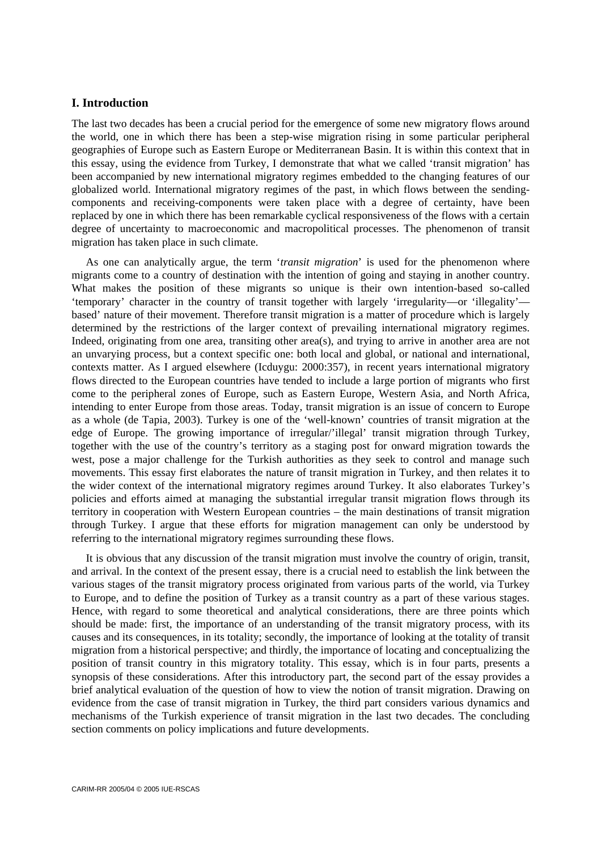# **I. Introduction**

The last two decades has been a crucial period for the emergence of some new migratory flows around the world, one in which there has been a step-wise migration rising in some particular peripheral geographies of Europe such as Eastern Europe or Mediterranean Basin. It is within this context that in this essay, using the evidence from Turkey, I demonstrate that what we called 'transit migration' has been accompanied by new international migratory regimes embedded to the changing features of our globalized world. International migratory regimes of the past, in which flows between the sendingcomponents and receiving-components were taken place with a degree of certainty, have been replaced by one in which there has been remarkable cyclical responsiveness of the flows with a certain degree of uncertainty to macroeconomic and macropolitical processes. The phenomenon of transit migration has taken place in such climate.

As one can analytically argue, the term '*transit migration*' is used for the phenomenon where migrants come to a country of destination with the intention of going and staying in another country. What makes the position of these migrants so unique is their own intention-based so-called 'temporary' character in the country of transit together with largely 'irregularity—or 'illegality' based' nature of their movement. Therefore transit migration is a matter of procedure which is largely determined by the restrictions of the larger context of prevailing international migratory regimes. Indeed, originating from one area, transiting other area(s), and trying to arrive in another area are not an unvarying process, but a context specific one: both local and global, or national and international, contexts matter. As I argued elsewhere (Icduygu: 2000:357), in recent years international migratory flows directed to the European countries have tended to include a large portion of migrants who first come to the peripheral zones of Europe, such as Eastern Europe, Western Asia, and North Africa, intending to enter Europe from those areas. Today, transit migration is an issue of concern to Europe as a whole (de Tapia, 2003). Turkey is one of the 'well-known' countries of transit migration at the edge of Europe. The growing importance of irregular/'illegal' transit migration through Turkey, together with the use of the country's territory as a staging post for onward migration towards the west, pose a major challenge for the Turkish authorities as they seek to control and manage such movements. This essay first elaborates the nature of transit migration in Turkey, and then relates it to the wider context of the international migratory regimes around Turkey. It also elaborates Turkey's policies and efforts aimed at managing the substantial irregular transit migration flows through its territory in cooperation with Western European countries – the main destinations of transit migration through Turkey. I argue that these efforts for migration management can only be understood by referring to the international migratory regimes surrounding these flows.

It is obvious that any discussion of the transit migration must involve the country of origin, transit, and arrival. In the context of the present essay, there is a crucial need to establish the link between the various stages of the transit migratory process originated from various parts of the world, via Turkey to Europe, and to define the position of Turkey as a transit country as a part of these various stages. Hence, with regard to some theoretical and analytical considerations, there are three points which should be made: first, the importance of an understanding of the transit migratory process, with its causes and its consequences, in its totality; secondly, the importance of looking at the totality of transit migration from a historical perspective; and thirdly, the importance of locating and conceptualizing the position of transit country in this migratory totality. This essay, which is in four parts, presents a synopsis of these considerations. After this introductory part, the second part of the essay provides a brief analytical evaluation of the question of how to view the notion of transit migration. Drawing on evidence from the case of transit migration in Turkey, the third part considers various dynamics and mechanisms of the Turkish experience of transit migration in the last two decades. The concluding section comments on policy implications and future developments.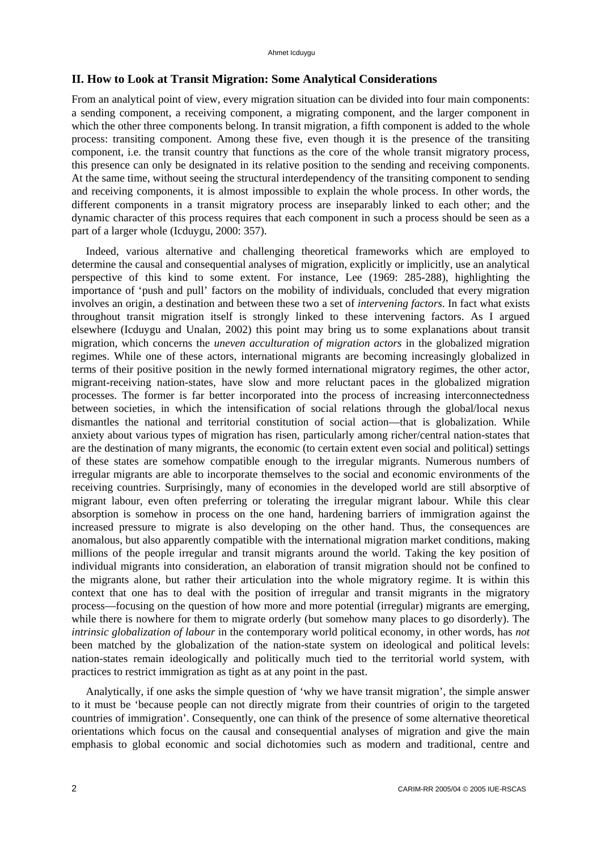# **II. How to Look at Transit Migration: Some Analytical Considerations**

From an analytical point of view, every migration situation can be divided into four main components: a sending component, a receiving component, a migrating component, and the larger component in which the other three components belong. In transit migration, a fifth component is added to the whole process: transiting component. Among these five, even though it is the presence of the transiting component, i.e. the transit country that functions as the core of the whole transit migratory process, this presence can only be designated in its relative position to the sending and receiving components. At the same time, without seeing the structural interdependency of the transiting component to sending and receiving components, it is almost impossible to explain the whole process. In other words, the different components in a transit migratory process are inseparably linked to each other; and the dynamic character of this process requires that each component in such a process should be seen as a part of a larger whole (Icduygu, 2000: 357).

Indeed, various alternative and challenging theoretical frameworks which are employed to determine the causal and consequential analyses of migration, explicitly or implicitly, use an analytical perspective of this kind to some extent. For instance, Lee (1969: 285-288), highlighting the importance of 'push and pull' factors on the mobility of individuals, concluded that every migration involves an origin, a destination and between these two a set of *intervening factors*. In fact what exists throughout transit migration itself is strongly linked to these intervening factors. As I argued elsewhere (Icduygu and Unalan, 2002) this point may bring us to some explanations about transit migration, which concerns the *uneven acculturation of migration actors* in the globalized migration regimes. While one of these actors, international migrants are becoming increasingly globalized in terms of their positive position in the newly formed international migratory regimes, the other actor, migrant-receiving nation-states, have slow and more reluctant paces in the globalized migration processes. The former is far better incorporated into the process of increasing interconnectedness between societies, in which the intensification of social relations through the global/local nexus dismantles the national and territorial constitution of social action—that is globalization. While anxiety about various types of migration has risen, particularly among richer/central nation-states that are the destination of many migrants, the economic (to certain extent even social and political) settings of these states are somehow compatible enough to the irregular migrants. Numerous numbers of irregular migrants are able to incorporate themselves to the social and economic environments of the receiving countries. Surprisingly, many of economies in the developed world are still absorptive of migrant labour, even often preferring or tolerating the irregular migrant labour. While this clear absorption is somehow in process on the one hand, hardening barriers of immigration against the increased pressure to migrate is also developing on the other hand. Thus, the consequences are anomalous, but also apparently compatible with the international migration market conditions, making millions of the people irregular and transit migrants around the world. Taking the key position of individual migrants into consideration, an elaboration of transit migration should not be confined to the migrants alone, but rather their articulation into the whole migratory regime. It is within this context that one has to deal with the position of irregular and transit migrants in the migratory process—focusing on the question of how more and more potential (irregular) migrants are emerging, while there is nowhere for them to migrate orderly (but somehow many places to go disorderly). The *intrinsic globalization of labour* in the contemporary world political economy*,* in other words, has *not* been matched by the globalization of the nation-state system on ideological and political levels: nation-states remain ideologically and politically much tied to the territorial world system, with practices to restrict immigration as tight as at any point in the past.

Analytically, if one asks the simple question of 'why we have transit migration', the simple answer to it must be 'because people can not directly migrate from their countries of origin to the targeted countries of immigration'. Consequently, one can think of the presence of some alternative theoretical orientations which focus on the causal and consequential analyses of migration and give the main emphasis to global economic and social dichotomies such as modern and traditional, centre and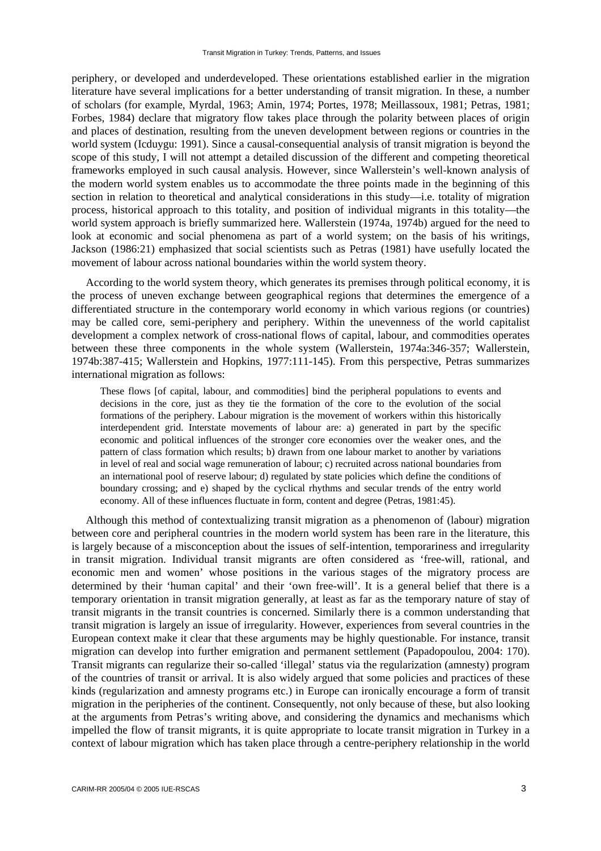periphery, or developed and underdeveloped. These orientations established earlier in the migration literature have several implications for a better understanding of transit migration. In these, a number of scholars (for example, Myrdal, 1963; Amin, 1974; Portes, 1978; Meillassoux, 1981; Petras, 1981; Forbes, 1984) declare that migratory flow takes place through the polarity between places of origin and places of destination, resulting from the uneven development between regions or countries in the world system (Icduygu: 1991). Since a causal-consequential analysis of transit migration is beyond the scope of this study, I will not attempt a detailed discussion of the different and competing theoretical frameworks employed in such causal analysis. However, since Wallerstein's well-known analysis of the modern world system enables us to accommodate the three points made in the beginning of this section in relation to theoretical and analytical considerations in this study—i.e. totality of migration process, historical approach to this totality, and position of individual migrants in this totality—the world system approach is briefly summarized here. Wallerstein (1974a, 1974b) argued for the need to look at economic and social phenomena as part of a world system; on the basis of his writings, Jackson (1986:21) emphasized that social scientists such as Petras (1981) have usefully located the movement of labour across national boundaries within the world system theory.

According to the world system theory, which generates its premises through political economy, it is the process of uneven exchange between geographical regions that determines the emergence of a differentiated structure in the contemporary world economy in which various regions (or countries) may be called core, semi-periphery and periphery. Within the unevenness of the world capitalist development a complex network of cross-national flows of capital, labour, and commodities operates between these three components in the whole system (Wallerstein, 1974a:346-357; Wallerstein, 1974b:387-415; Wallerstein and Hopkins, 1977:111-145). From this perspective, Petras summarizes international migration as follows:

These flows [of capital, labour, and commodities] bind the peripheral populations to events and decisions in the core, just as they tie the formation of the core to the evolution of the social formations of the periphery. Labour migration is the movement of workers within this historically interdependent grid. Interstate movements of labour are: a) generated in part by the specific economic and political influences of the stronger core economies over the weaker ones, and the pattern of class formation which results; b) drawn from one labour market to another by variations in level of real and social wage remuneration of labour; c) recruited across national boundaries from an international pool of reserve labour; d) regulated by state policies which define the conditions of boundary crossing; and e) shaped by the cyclical rhythms and secular trends of the entry world economy. All of these influences fluctuate in form, content and degree (Petras, 1981:45).

Although this method of contextualizing transit migration as a phenomenon of (labour) migration between core and peripheral countries in the modern world system has been rare in the literature, this is largely because of a misconception about the issues of self-intention, temporariness and irregularity in transit migration. Individual transit migrants are often considered as 'free-will, rational, and economic men and women' whose positions in the various stages of the migratory process are determined by their 'human capital' and their 'own free-will'. It is a general belief that there is a temporary orientation in transit migration generally, at least as far as the temporary nature of stay of transit migrants in the transit countries is concerned. Similarly there is a common understanding that transit migration is largely an issue of irregularity. However, experiences from several countries in the European context make it clear that these arguments may be highly questionable. For instance, transit migration can develop into further emigration and permanent settlement (Papadopoulou, 2004: 170). Transit migrants can regularize their so-called 'illegal' status via the regularization (amnesty) program of the countries of transit or arrival. It is also widely argued that some policies and practices of these kinds (regularization and amnesty programs etc.) in Europe can ironically encourage a form of transit migration in the peripheries of the continent. Consequently, not only because of these, but also looking at the arguments from Petras's writing above, and considering the dynamics and mechanisms which impelled the flow of transit migrants, it is quite appropriate to locate transit migration in Turkey in a context of labour migration which has taken place through a centre-periphery relationship in the world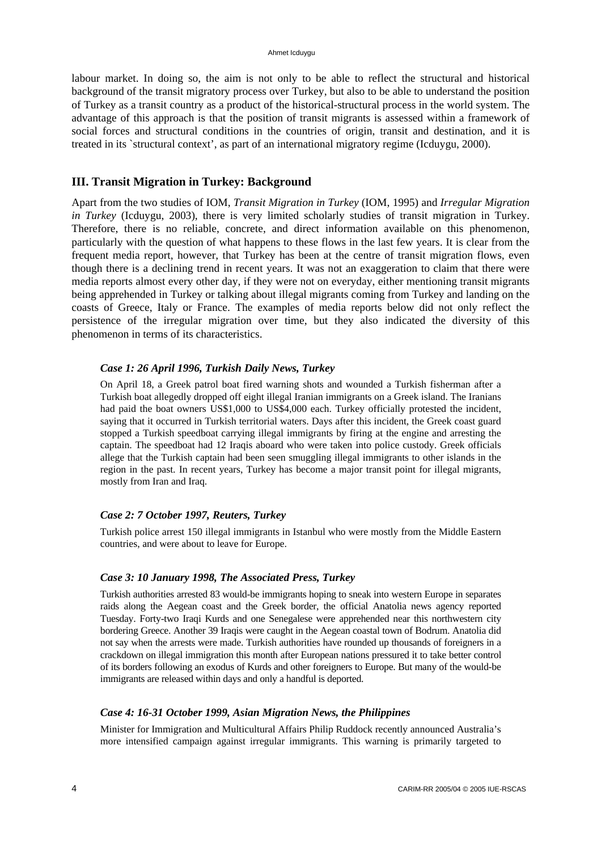labour market. In doing so, the aim is not only to be able to reflect the structural and historical background of the transit migratory process over Turkey, but also to be able to understand the position of Turkey as a transit country as a product of the historical-structural process in the world system. The advantage of this approach is that the position of transit migrants is assessed within a framework of social forces and structural conditions in the countries of origin, transit and destination, and it is treated in its `structural context', as part of an international migratory regime (Icduygu, 2000).

# **III. Transit Migration in Turkey: Background**

Apart from the two studies of IOM, *Transit Migration in Turkey* (IOM, 1995) and *Irregular Migration in Turkey* (Icduygu, 2003), there is very limited scholarly studies of transit migration in Turkey. Therefore, there is no reliable, concrete, and direct information available on this phenomenon, particularly with the question of what happens to these flows in the last few years. It is clear from the frequent media report, however, that Turkey has been at the centre of transit migration flows, even though there is a declining trend in recent years. It was not an exaggeration to claim that there were media reports almost every other day, if they were not on everyday, either mentioning transit migrants being apprehended in Turkey or talking about illegal migrants coming from Turkey and landing on the coasts of Greece, Italy or France. The examples of media reports below did not only reflect the persistence of the irregular migration over time, but they also indicated the diversity of this phenomenon in terms of its characteristics.

### *Case 1: 26 April 1996, Turkish Daily News, Turkey*

On April 18, a Greek patrol boat fired warning shots and wounded a Turkish fisherman after a Turkish boat allegedly dropped off eight illegal Iranian immigrants on a Greek island. The Iranians had paid the boat owners US\$1,000 to US\$4,000 each. Turkey officially protested the incident, saying that it occurred in Turkish territorial waters. Days after this incident, the Greek coast guard stopped a Turkish speedboat carrying illegal immigrants by firing at the engine and arresting the captain. The speedboat had 12 Iraqis aboard who were taken into police custody. Greek officials allege that the Turkish captain had been seen smuggling illegal immigrants to other islands in the region in the past. In recent years, Turkey has become a major transit point for illegal migrants, mostly from Iran and Iraq.

### *Case 2: 7 October 1997, Reuters, Turkey*

Turkish police arrest 150 illegal immigrants in Istanbul who were mostly from the Middle Eastern countries, and were about to leave for Europe.

### *Case 3: 10 January 1998, The Associated Press, Turkey*

Turkish authorities arrested 83 would-be immigrants hoping to sneak into western Europe in separates raids along the Aegean coast and the Greek border, the official Anatolia news agency reported Tuesday. Forty-two Iraqi Kurds and one Senegalese were apprehended near this northwestern city bordering Greece. Another 39 Iraqis were caught in the Aegean coastal town of Bodrum. Anatolia did not say when the arrests were made. Turkish authorities have rounded up thousands of foreigners in a crackdown on illegal immigration this month after European nations pressured it to take better control of its borders following an exodus of Kurds and other foreigners to Europe. But many of the would-be immigrants are released within days and only a handful is deported.

### *Case 4: 16-31 October 1999, Asian Migration News, the Philippines*

Minister for Immigration and Multicultural Affairs Philip Ruddock recently announced Australia's more intensified campaign against irregular immigrants. This warning is primarily targeted to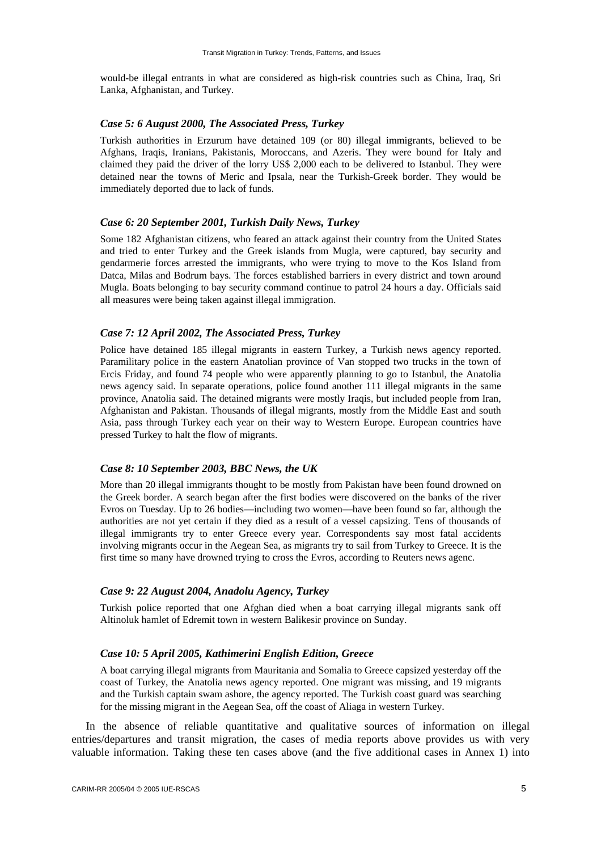would-be illegal entrants in what are considered as high-risk countries such as China, Iraq, Sri Lanka, Afghanistan, and Turkey.

### *Case 5: 6 August 2000, The Associated Press, Turkey*

Turkish authorities in Erzurum have detained 109 (or 80) illegal immigrants, believed to be Afghans, Iraqis, Iranians, Pakistanis, Moroccans, and Azeris. They were bound for Italy and claimed they paid the driver of the lorry US\$ 2,000 each to be delivered to Istanbul. They were detained near the towns of Meric and Ipsala, near the Turkish-Greek border. They would be immediately deported due to lack of funds.

#### *Case 6: 20 September 2001, Turkish Daily News, Turkey*

Some 182 Afghanistan citizens, who feared an attack against their country from the United States and tried to enter Turkey and the Greek islands from Mugla, were captured, bay security and gendarmerie forces arrested the immigrants, who were trying to move to the Kos Island from Datca, Milas and Bodrum bays. The forces established barriers in every district and town around Mugla. Boats belonging to bay security command continue to patrol 24 hours a day. Officials said all measures were being taken against illegal immigration.

### *Case 7: 12 April 2002, The Associated Press, Turkey*

Police have detained 185 illegal migrants in eastern Turkey, a Turkish news agency reported. Paramilitary police in the eastern Anatolian province of Van stopped two trucks in the town of Ercis Friday, and found 74 people who were apparently planning to go to Istanbul, the Anatolia news agency said. In separate operations, police found another 111 illegal migrants in the same province, Anatolia said. The detained migrants were mostly Iraqis, but included people from Iran, Afghanistan and Pakistan. Thousands of illegal migrants, mostly from the Middle East and south Asia, pass through Turkey each year on their way to Western Europe. European countries have pressed Turkey to halt the flow of migrants.

### *Case 8: 10 September 2003, BBC News, the UK*

More than 20 illegal immigrants thought to be mostly from Pakistan have been found drowned on the Greek border. A search began after the first bodies were discovered on the banks of the river Evros on Tuesday. Up to 26 bodies—including two women—have been found so far, although the authorities are not yet certain if they died as a result of a vessel capsizing. Tens of thousands of illegal immigrants try to enter Greece every year. Correspondents say most fatal accidents involving migrants occur in the Aegean Sea, as migrants try to sail from Turkey to Greece. It is the first time so many have drowned trying to cross the Evros, according to Reuters news agenc.

### *Case 9: 22 August 2004, Anadolu Agency, Turkey*

Turkish police reported that one Afghan died when a boat carrying illegal migrants sank off Altinoluk hamlet of Edremit town in western Balikesir province on Sunday.

### *Case 10: 5 April 2005, Kathimerini English Edition, Greece*

A boat carrying illegal migrants from Mauritania and Somalia to Greece capsized yesterday off the coast of Turkey, the Anatolia news agency reported. One migrant was missing, and 19 migrants and the Turkish captain swam ashore, the agency reported. The Turkish coast guard was searching for the missing migrant in the Aegean Sea, off the coast of Aliaga in western Turkey.

In the absence of reliable quantitative and qualitative sources of information on illegal entries/departures and transit migration, the cases of media reports above provides us with very valuable information. Taking these ten cases above (and the five additional cases in Annex 1) into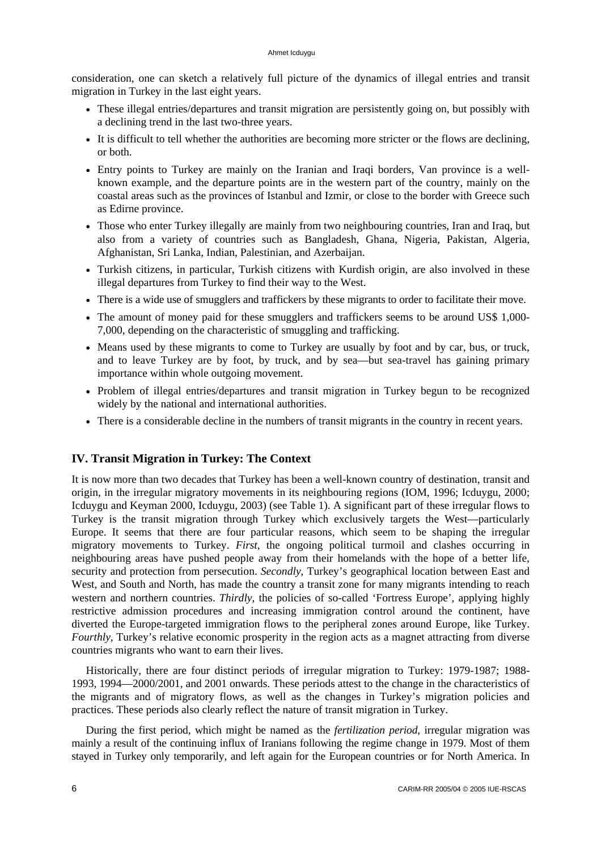consideration, one can sketch a relatively full picture of the dynamics of illegal entries and transit migration in Turkey in the last eight years.

- These illegal entries/departures and transit migration are persistently going on, but possibly with a declining trend in the last two-three years.
- It is difficult to tell whether the authorities are becoming more stricter or the flows are declining, or both.
- Entry points to Turkey are mainly on the Iranian and Iraqi borders, Van province is a wellknown example, and the departure points are in the western part of the country, mainly on the coastal areas such as the provinces of Istanbul and Izmir, or close to the border with Greece such as Edirne province.
- Those who enter Turkey illegally are mainly from two neighbouring countries, Iran and Iraq, but also from a variety of countries such as Bangladesh, Ghana, Nigeria, Pakistan, Algeria, Afghanistan, Sri Lanka, Indian, Palestinian, and Azerbaijan.
- Turkish citizens, in particular, Turkish citizens with Kurdish origin, are also involved in these illegal departures from Turkey to find their way to the West.
- There is a wide use of smugglers and traffickers by these migrants to order to facilitate their move.
- The amount of money paid for these smugglers and traffickers seems to be around US\$ 1,000-7,000, depending on the characteristic of smuggling and trafficking.
- Means used by these migrants to come to Turkey are usually by foot and by car, bus, or truck, and to leave Turkey are by foot, by truck, and by sea—but sea-travel has gaining primary importance within whole outgoing movement.
- Problem of illegal entries/departures and transit migration in Turkey begun to be recognized widely by the national and international authorities.
- There is a considerable decline in the numbers of transit migrants in the country in recent years.

# **IV. Transit Migration in Turkey: The Context**

It is now more than two decades that Turkey has been a well-known country of destination, transit and origin, in the irregular migratory movements in its neighbouring regions (IOM, 1996; Icduygu, 2000; Icduygu and Keyman 2000, Icduygu, 2003) (see Table 1). A significant part of these irregular flows to Turkey is the transit migration through Turkey which exclusively targets the West—particularly Europe. It seems that there are four particular reasons, which seem to be shaping the irregular migratory movements to Turkey. *First*, the ongoing political turmoil and clashes occurring in neighbouring areas have pushed people away from their homelands with the hope of a better life, security and protection from persecution. *Secondly*, Turkey's geographical location between East and West, and South and North, has made the country a transit zone for many migrants intending to reach western and northern countries. *Thirdly*, the policies of so-called 'Fortress Europe', applying highly restrictive admission procedures and increasing immigration control around the continent, have diverted the Europe-targeted immigration flows to the peripheral zones around Europe, like Turkey. *Fourthly*, Turkey's relative economic prosperity in the region acts as a magnet attracting from diverse countries migrants who want to earn their lives.

Historically, there are four distinct periods of irregular migration to Turkey: 1979-1987; 1988- 1993, 1994—2000/2001, and 2001 onwards. These periods attest to the change in the characteristics of the migrants and of migratory flows, as well as the changes in Turkey's migration policies and practices. These periods also clearly reflect the nature of transit migration in Turkey.

During the first period, which might be named as the *fertilization period*, irregular migration was mainly a result of the continuing influx of Iranians following the regime change in 1979. Most of them stayed in Turkey only temporarily, and left again for the European countries or for North America. In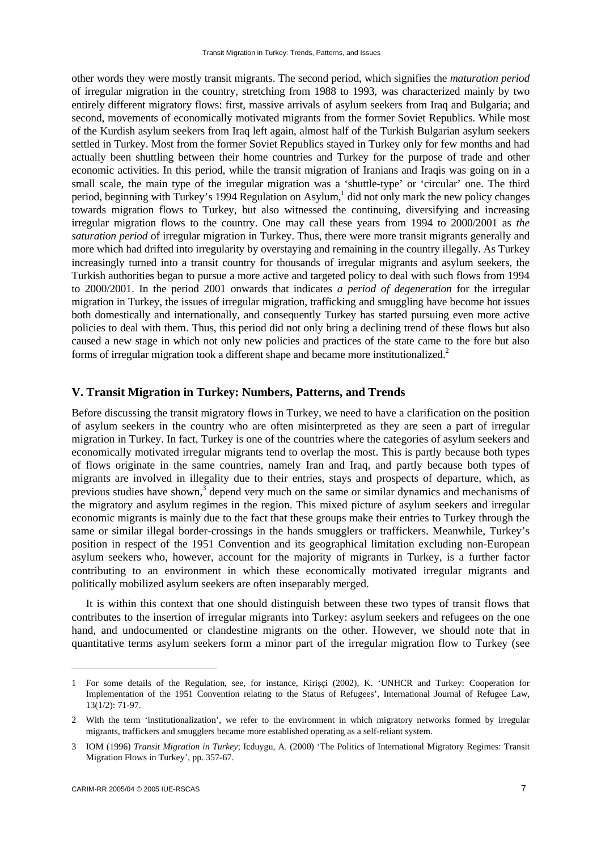other words they were mostly transit migrants. The second period, which signifies the *maturation period* of irregular migration in the country, stretching from 1988 to 1993, was characterized mainly by two entirely different migratory flows: first, massive arrivals of asylum seekers from Iraq and Bulgaria; and second, movements of economically motivated migrants from the former Soviet Republics. While most of the Kurdish asylum seekers from Iraq left again, almost half of the Turkish Bulgarian asylum seekers settled in Turkey. Most from the former Soviet Republics stayed in Turkey only for few months and had actually been shuttling between their home countries and Turkey for the purpose of trade and other economic activities. In this period, while the transit migration of Iranians and Iraqis was going on in a small scale, the main type of the irregular migration was a 'shuttle-type' or 'circular' one. The third period, beginning with Turkey's 1994 Regulation on Asylum,<sup>1</sup> did not only mark the new policy changes towards migration flows to Turkey, but also witnessed the continuing, diversifying and increasing irregular migration flows to the country. One may call these years from 1994 to 2000/2001 as *the saturation period* of irregular migration in Turkey. Thus, there were more transit migrants generally and more which had drifted into irregularity by overstaying and remaining in the country illegally. As Turkey increasingly turned into a transit country for thousands of irregular migrants and asylum seekers, the Turkish authorities began to pursue a more active and targeted policy to deal with such flows from 1994 to 2000/2001. In the period 2001 onwards that indicates *a period of degeneration* for the irregular migration in Turkey, the issues of irregular migration, trafficking and smuggling have become hot issues both domestically and internationally, and consequently Turkey has started pursuing even more active policies to deal with them. Thus, this period did not only bring a declining trend of these flows but also caused a new stage in which not only new policies and practices of the state came to the fore but also forms of irregular migration took a different shape and became more institutionalized.<sup>2</sup>

# **V. Transit Migration in Turkey: Numbers, Patterns, and Trends**

Before discussing the transit migratory flows in Turkey, we need to have a clarification on the position of asylum seekers in the country who are often misinterpreted as they are seen a part of irregular migration in Turkey. In fact, Turkey is one of the countries where the categories of asylum seekers and economically motivated irregular migrants tend to overlap the most. This is partly because both types of flows originate in the same countries, namely Iran and Iraq, and partly because both types of migrants are involved in illegality due to their entries, stays and prospects of departure, which, as previous studies have shown, $3$  depend very much on the same or similar dynamics and mechanisms of the migratory and asylum regimes in the region. This mixed picture of asylum seekers and irregular economic migrants is mainly due to the fact that these groups make their entries to Turkey through the same or similar illegal border-crossings in the hands smugglers or traffickers. Meanwhile, Turkey's position in respect of the 1951 Convention and its geographical limitation excluding non-European asylum seekers who, however, account for the majority of migrants in Turkey, is a further factor contributing to an environment in which these economically motivated irregular migrants and politically mobilized asylum seekers are often inseparably merged.

It is within this context that one should distinguish between these two types of transit flows that contributes to the insertion of irregular migrants into Turkey: asylum seekers and refugees on the one hand, and undocumented or clandestine migrants on the other. However, we should note that in quantitative terms asylum seekers form a minor part of the irregular migration flow to Turkey (see

<sup>1</sup> For some details of the Regulation, see, for instance, Kirişçi (2002), K. 'UNHCR and Turkey: Cooperation for Implementation of the 1951 Convention relating to the Status of Refugees', International Journal of Refugee Law, 13(1/2): 71-97.

<sup>2</sup> With the term 'institutionalization', we refer to the environment in which migratory networks formed by irregular migrants, traffickers and smugglers became more established operating as a self-reliant system.

<sup>3</sup> IOM (1996) *Transit Migration in Turkey*; Icduygu, A. (2000) 'The Politics of International Migratory Regimes: Transit Migration Flows in Turkey', pp. 357-67.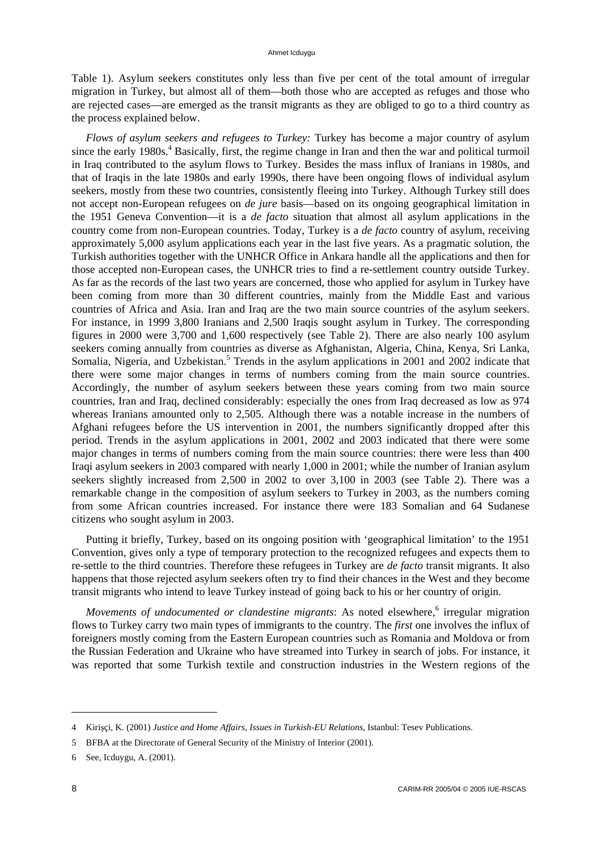Table 1). Asylum seekers constitutes only less than five per cent of the total amount of irregular migration in Turkey, but almost all of them—both those who are accepted as refuges and those who are rejected cases—are emerged as the transit migrants as they are obliged to go to a third country as the process explained below.

*Flows of asylum seekers and refugees to Turkey:* Turkey has become a major country of asylum since the early 1980s.<sup>4</sup> Basically, first, the regime change in Iran and then the war and political turmoil in Iraq contributed to the asylum flows to Turkey. Besides the mass influx of Iranians in 1980s, and that of Iraqis in the late 1980s and early 1990s, there have been ongoing flows of individual asylum seekers, mostly from these two countries, consistently fleeing into Turkey. Although Turkey still does not accept non-European refugees on *de jure* basis—based on its ongoing geographical limitation in the 1951 Geneva Convention—it is a *de facto* situation that almost all asylum applications in the country come from non-European countries. Today, Turkey is a *de facto* country of asylum, receiving approximately 5,000 asylum applications each year in the last five years. As a pragmatic solution, the Turkish authorities together with the UNHCR Office in Ankara handle all the applications and then for those accepted non-European cases, the UNHCR tries to find a re-settlement country outside Turkey. As far as the records of the last two years are concerned, those who applied for asylum in Turkey have been coming from more than 30 different countries, mainly from the Middle East and various countries of Africa and Asia. Iran and Iraq are the two main source countries of the asylum seekers. For instance, in 1999 3,800 Iranians and 2,500 Iraqis sought asylum in Turkey. The corresponding figures in 2000 were 3,700 and 1,600 respectively (see Table 2). There are also nearly 100 asylum seekers coming annually from countries as diverse as Afghanistan, Algeria, China, Kenya, Sri Lanka, Somalia, Nigeria, and Uzbekistan.<sup>5</sup> Trends in the asylum applications in 2001 and 2002 indicate that there were some major changes in terms of numbers coming from the main source countries. Accordingly, the number of asylum seekers between these years coming from two main source countries, Iran and Iraq, declined considerably: especially the ones from Iraq decreased as low as 974 whereas Iranians amounted only to 2,505. Although there was a notable increase in the numbers of Afghani refugees before the US intervention in 2001, the numbers significantly dropped after this period. Trends in the asylum applications in 2001, 2002 and 2003 indicated that there were some major changes in terms of numbers coming from the main source countries: there were less than 400 Iraqi asylum seekers in 2003 compared with nearly 1,000 in 2001; while the number of Iranian asylum seekers slightly increased from 2,500 in 2002 to over 3,100 in 2003 (see Table 2). There was a remarkable change in the composition of asylum seekers to Turkey in 2003, as the numbers coming from some African countries increased. For instance there were 183 Somalian and 64 Sudanese citizens who sought asylum in 2003.

Putting it briefly, Turkey, based on its ongoing position with 'geographical limitation' to the 1951 Convention, gives only a type of temporary protection to the recognized refugees and expects them to re-settle to the third countries. Therefore these refugees in Turkey are *de facto* transit migrants. It also happens that those rejected asylum seekers often try to find their chances in the West and they become transit migrants who intend to leave Turkey instead of going back to his or her country of origin.

*Movements of undocumented or clandestine migrants*: As noted elsewhere,<sup>6</sup> irregular migration flows to Turkey carry two main types of immigrants to the country. The *first* one involves the influx of foreigners mostly coming from the Eastern European countries such as Romania and Moldova or from the Russian Federation and Ukraine who have streamed into Turkey in search of jobs. For instance, it was reported that some Turkish textile and construction industries in the Western regions of the

<sup>4</sup> Kirişçi, K. (2001) *Justice and Home Affairs, Issues in Turkish-EU Relations*, Istanbul: Tesev Publications.

<sup>5</sup> BFBA at the Directorate of General Security of the Ministry of Interior (2001).

<sup>6</sup> See, Icduygu, A. (2001).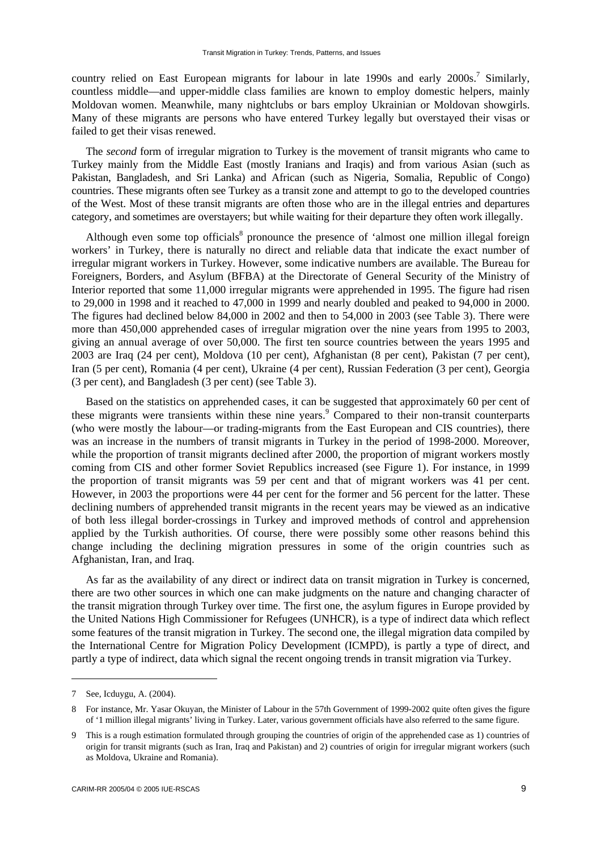country relied on East European migrants for labour in late 1990s and early 2000s.<sup>7</sup> Similarly, countless middle—and upper-middle class families are known to employ domestic helpers, mainly Moldovan women. Meanwhile, many nightclubs or bars employ Ukrainian or Moldovan showgirls. Many of these migrants are persons who have entered Turkey legally but overstayed their visas or failed to get their visas renewed.

The *second* form of irregular migration to Turkey is the movement of transit migrants who came to Turkey mainly from the Middle East (mostly Iranians and Iraqis) and from various Asian (such as Pakistan, Bangladesh, and Sri Lanka) and African (such as Nigeria, Somalia, Republic of Congo) countries. These migrants often see Turkey as a transit zone and attempt to go to the developed countries of the West. Most of these transit migrants are often those who are in the illegal entries and departures category, and sometimes are overstayers; but while waiting for their departure they often work illegally.

Although even some top officials<sup>8</sup> pronounce the presence of 'almost one million illegal foreign workers' in Turkey, there is naturally no direct and reliable data that indicate the exact number of irregular migrant workers in Turkey. However, some indicative numbers are available. The Bureau for Foreigners, Borders, and Asylum (BFBA) at the Directorate of General Security of the Ministry of Interior reported that some 11,000 irregular migrants were apprehended in 1995. The figure had risen to 29,000 in 1998 and it reached to 47,000 in 1999 and nearly doubled and peaked to 94,000 in 2000. The figures had declined below 84,000 in 2002 and then to 54,000 in 2003 (see Table 3). There were more than 450,000 apprehended cases of irregular migration over the nine years from 1995 to 2003, giving an annual average of over 50,000. The first ten source countries between the years 1995 and 2003 are Iraq (24 per cent), Moldova (10 per cent), Afghanistan (8 per cent), Pakistan (7 per cent), Iran (5 per cent), Romania (4 per cent), Ukraine (4 per cent), Russian Federation (3 per cent), Georgia (3 per cent), and Bangladesh (3 per cent) (see Table 3).

Based on the statistics on apprehended cases, it can be suggested that approximately 60 per cent of these migrants were transients within these nine years.<sup>9</sup> Compared to their non-transit counterparts (who were mostly the labour—or trading-migrants from the East European and CIS countries), there was an increase in the numbers of transit migrants in Turkey in the period of 1998-2000. Moreover, while the proportion of transit migrants declined after 2000, the proportion of migrant workers mostly coming from CIS and other former Soviet Republics increased (see Figure 1). For instance, in 1999 the proportion of transit migrants was 59 per cent and that of migrant workers was 41 per cent. However, in 2003 the proportions were 44 per cent for the former and 56 percent for the latter. These declining numbers of apprehended transit migrants in the recent years may be viewed as an indicative of both less illegal border-crossings in Turkey and improved methods of control and apprehension applied by the Turkish authorities. Of course, there were possibly some other reasons behind this change including the declining migration pressures in some of the origin countries such as Afghanistan, Iran, and Iraq.

As far as the availability of any direct or indirect data on transit migration in Turkey is concerned, there are two other sources in which one can make judgments on the nature and changing character of the transit migration through Turkey over time. The first one, the asylum figures in Europe provided by the United Nations High Commissioner for Refugees (UNHCR), is a type of indirect data which reflect some features of the transit migration in Turkey. The second one, the illegal migration data compiled by the International Centre for Migration Policy Development (ICMPD), is partly a type of direct, and partly a type of indirect, data which signal the recent ongoing trends in transit migration via Turkey.

<sup>7</sup> See, Icduygu, A. (2004).

<sup>8</sup> For instance, Mr. Yasar Okuyan, the Minister of Labour in the 57th Government of 1999-2002 quite often gives the figure of '1 million illegal migrants' living in Turkey. Later, various government officials have also referred to the same figure.

<sup>9</sup> This is a rough estimation formulated through grouping the countries of origin of the apprehended case as 1) countries of origin for transit migrants (such as Iran, Iraq and Pakistan) and 2) countries of origin for irregular migrant workers (such as Moldova, Ukraine and Romania).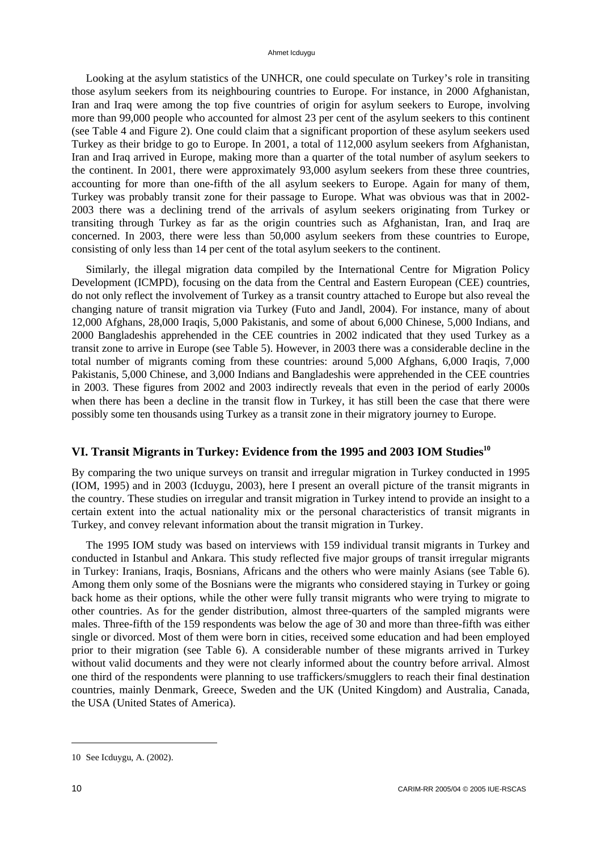#### Ahmet Icduygu

Looking at the asylum statistics of the UNHCR, one could speculate on Turkey's role in transiting those asylum seekers from its neighbouring countries to Europe. For instance, in 2000 Afghanistan, Iran and Iraq were among the top five countries of origin for asylum seekers to Europe, involving more than 99,000 people who accounted for almost 23 per cent of the asylum seekers to this continent (see Table 4 and Figure 2). One could claim that a significant proportion of these asylum seekers used Turkey as their bridge to go to Europe. In 2001, a total of 112,000 asylum seekers from Afghanistan, Iran and Iraq arrived in Europe, making more than a quarter of the total number of asylum seekers to the continent. In 2001, there were approximately 93,000 asylum seekers from these three countries, accounting for more than one-fifth of the all asylum seekers to Europe. Again for many of them, Turkey was probably transit zone for their passage to Europe. What was obvious was that in 2002- 2003 there was a declining trend of the arrivals of asylum seekers originating from Turkey or transiting through Turkey as far as the origin countries such as Afghanistan, Iran, and Iraq are concerned. In 2003, there were less than 50,000 asylum seekers from these countries to Europe, consisting of only less than 14 per cent of the total asylum seekers to the continent.

Similarly, the illegal migration data compiled by the International Centre for Migration Policy Development (ICMPD), focusing on the data from the Central and Eastern European (CEE) countries, do not only reflect the involvement of Turkey as a transit country attached to Europe but also reveal the changing nature of transit migration via Turkey (Futo and Jandl, 2004). For instance, many of about 12,000 Afghans, 28,000 Iraqis, 5,000 Pakistanis, and some of about 6,000 Chinese, 5,000 Indians, and 2000 Bangladeshis apprehended in the CEE countries in 2002 indicated that they used Turkey as a transit zone to arrive in Europe (see Table 5). However, in 2003 there was a considerable decline in the total number of migrants coming from these countries: around 5,000 Afghans, 6,000 Iraqis, 7,000 Pakistanis, 5,000 Chinese, and 3,000 Indians and Bangladeshis were apprehended in the CEE countries in 2003. These figures from 2002 and 2003 indirectly reveals that even in the period of early 2000s when there has been a decline in the transit flow in Turkey, it has still been the case that there were possibly some ten thousands using Turkey as a transit zone in their migratory journey to Europe.

# **VI. Transit Migrants in Turkey: Evidence from the 1995 and 2003 IOM Studies10**

By comparing the two unique surveys on transit and irregular migration in Turkey conducted in 1995 (IOM, 1995) and in 2003 (Icduygu, 2003), here I present an overall picture of the transit migrants in the country. These studies on irregular and transit migration in Turkey intend to provide an insight to a certain extent into the actual nationality mix or the personal characteristics of transit migrants in Turkey, and convey relevant information about the transit migration in Turkey.

The 1995 IOM study was based on interviews with 159 individual transit migrants in Turkey and conducted in Istanbul and Ankara. This study reflected five major groups of transit irregular migrants in Turkey: Iranians, Iraqis, Bosnians, Africans and the others who were mainly Asians (see Table 6). Among them only some of the Bosnians were the migrants who considered staying in Turkey or going back home as their options, while the other were fully transit migrants who were trying to migrate to other countries. As for the gender distribution, almost three-quarters of the sampled migrants were males. Three-fifth of the 159 respondents was below the age of 30 and more than three-fifth was either single or divorced. Most of them were born in cities, received some education and had been employed prior to their migration (see Table 6). A considerable number of these migrants arrived in Turkey without valid documents and they were not clearly informed about the country before arrival. Almost one third of the respondents were planning to use traffickers/smugglers to reach their final destination countries, mainly Denmark, Greece, Sweden and the UK (United Kingdom) and Australia, Canada, the USA (United States of America).

<sup>10</sup> See Icduygu, A. (2002).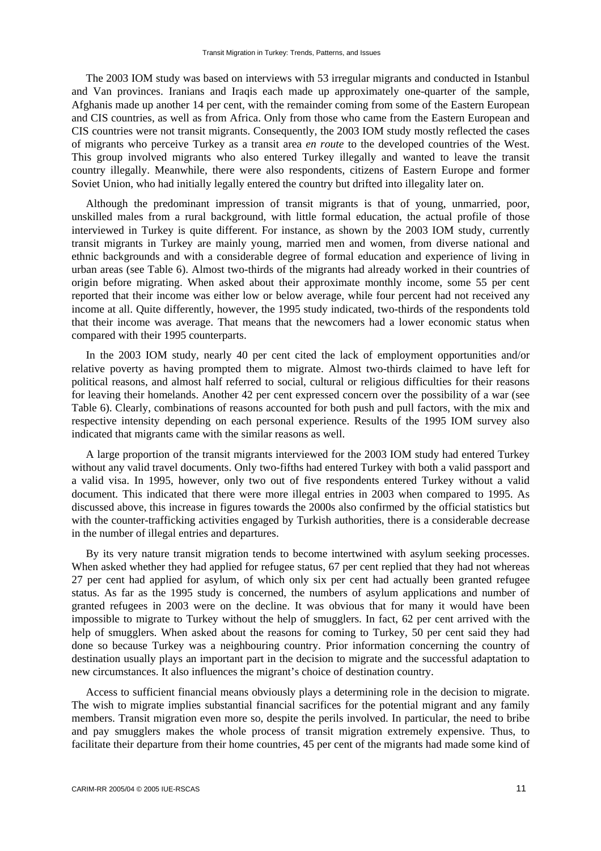The 2003 IOM study was based on interviews with 53 irregular migrants and conducted in Istanbul and Van provinces. Iranians and Iraqis each made up approximately one-quarter of the sample, Afghanis made up another 14 per cent, with the remainder coming from some of the Eastern European and CIS countries, as well as from Africa. Only from those who came from the Eastern European and CIS countries were not transit migrants. Consequently, the 2003 IOM study mostly reflected the cases of migrants who perceive Turkey as a transit area *en route* to the developed countries of the West. This group involved migrants who also entered Turkey illegally and wanted to leave the transit country illegally. Meanwhile, there were also respondents, citizens of Eastern Europe and former Soviet Union, who had initially legally entered the country but drifted into illegality later on.

Although the predominant impression of transit migrants is that of young, unmarried, poor, unskilled males from a rural background, with little formal education, the actual profile of those interviewed in Turkey is quite different. For instance, as shown by the 2003 IOM study, currently transit migrants in Turkey are mainly young, married men and women, from diverse national and ethnic backgrounds and with a considerable degree of formal education and experience of living in urban areas (see Table 6). Almost two-thirds of the migrants had already worked in their countries of origin before migrating. When asked about their approximate monthly income, some 55 per cent reported that their income was either low or below average, while four percent had not received any income at all. Quite differently, however, the 1995 study indicated, two-thirds of the respondents told that their income was average. That means that the newcomers had a lower economic status when compared with their 1995 counterparts.

In the 2003 IOM study, nearly 40 per cent cited the lack of employment opportunities and/or relative poverty as having prompted them to migrate. Almost two-thirds claimed to have left for political reasons, and almost half referred to social, cultural or religious difficulties for their reasons for leaving their homelands. Another 42 per cent expressed concern over the possibility of a war (see Table 6). Clearly, combinations of reasons accounted for both push and pull factors, with the mix and respective intensity depending on each personal experience. Results of the 1995 IOM survey also indicated that migrants came with the similar reasons as well.

A large proportion of the transit migrants interviewed for the 2003 IOM study had entered Turkey without any valid travel documents. Only two-fifths had entered Turkey with both a valid passport and a valid visa. In 1995, however, only two out of five respondents entered Turkey without a valid document. This indicated that there were more illegal entries in 2003 when compared to 1995. As discussed above, this increase in figures towards the 2000s also confirmed by the official statistics but with the counter-trafficking activities engaged by Turkish authorities, there is a considerable decrease in the number of illegal entries and departures.

By its very nature transit migration tends to become intertwined with asylum seeking processes. When asked whether they had applied for refugee status, 67 per cent replied that they had not whereas 27 per cent had applied for asylum, of which only six per cent had actually been granted refugee status. As far as the 1995 study is concerned, the numbers of asylum applications and number of granted refugees in 2003 were on the decline. It was obvious that for many it would have been impossible to migrate to Turkey without the help of smugglers. In fact, 62 per cent arrived with the help of smugglers. When asked about the reasons for coming to Turkey, 50 per cent said they had done so because Turkey was a neighbouring country. Prior information concerning the country of destination usually plays an important part in the decision to migrate and the successful adaptation to new circumstances. It also influences the migrant's choice of destination country.

Access to sufficient financial means obviously plays a determining role in the decision to migrate. The wish to migrate implies substantial financial sacrifices for the potential migrant and any family members. Transit migration even more so, despite the perils involved. In particular, the need to bribe and pay smugglers makes the whole process of transit migration extremely expensive. Thus, to facilitate their departure from their home countries, 45 per cent of the migrants had made some kind of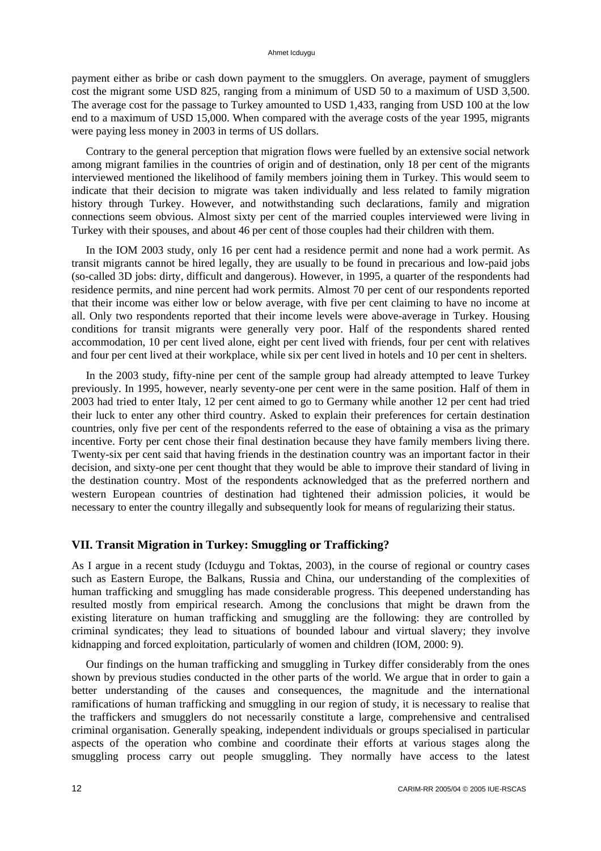payment either as bribe or cash down payment to the smugglers. On average, payment of smugglers cost the migrant some USD 825, ranging from a minimum of USD 50 to a maximum of USD 3,500. The average cost for the passage to Turkey amounted to USD 1,433, ranging from USD 100 at the low end to a maximum of USD 15,000. When compared with the average costs of the year 1995, migrants were paying less money in 2003 in terms of US dollars.

Contrary to the general perception that migration flows were fuelled by an extensive social network among migrant families in the countries of origin and of destination, only 18 per cent of the migrants interviewed mentioned the likelihood of family members joining them in Turkey. This would seem to indicate that their decision to migrate was taken individually and less related to family migration history through Turkey. However, and notwithstanding such declarations, family and migration connections seem obvious. Almost sixty per cent of the married couples interviewed were living in Turkey with their spouses, and about 46 per cent of those couples had their children with them.

In the IOM 2003 study, only 16 per cent had a residence permit and none had a work permit. As transit migrants cannot be hired legally, they are usually to be found in precarious and low-paid jobs (so-called 3D jobs: dirty, difficult and dangerous). However, in 1995, a quarter of the respondents had residence permits, and nine percent had work permits. Almost 70 per cent of our respondents reported that their income was either low or below average, with five per cent claiming to have no income at all. Only two respondents reported that their income levels were above-average in Turkey. Housing conditions for transit migrants were generally very poor. Half of the respondents shared rented accommodation, 10 per cent lived alone, eight per cent lived with friends, four per cent with relatives and four per cent lived at their workplace, while six per cent lived in hotels and 10 per cent in shelters.

In the 2003 study, fifty-nine per cent of the sample group had already attempted to leave Turkey previously. In 1995, however, nearly seventy-one per cent were in the same position. Half of them in 2003 had tried to enter Italy, 12 per cent aimed to go to Germany while another 12 per cent had tried their luck to enter any other third country. Asked to explain their preferences for certain destination countries, only five per cent of the respondents referred to the ease of obtaining a visa as the primary incentive. Forty per cent chose their final destination because they have family members living there. Twenty-six per cent said that having friends in the destination country was an important factor in their decision, and sixty-one per cent thought that they would be able to improve their standard of living in the destination country. Most of the respondents acknowledged that as the preferred northern and western European countries of destination had tightened their admission policies, it would be necessary to enter the country illegally and subsequently look for means of regularizing their status.

### **VII. Transit Migration in Turkey: Smuggling or Trafficking?**

As I argue in a recent study (Icduygu and Toktas, 2003), in the course of regional or country cases such as Eastern Europe, the Balkans, Russia and China, our understanding of the complexities of human trafficking and smuggling has made considerable progress. This deepened understanding has resulted mostly from empirical research. Among the conclusions that might be drawn from the existing literature on human trafficking and smuggling are the following: they are controlled by criminal syndicates; they lead to situations of bounded labour and virtual slavery; they involve kidnapping and forced exploitation, particularly of women and children (IOM, 2000: 9).

Our findings on the human trafficking and smuggling in Turkey differ considerably from the ones shown by previous studies conducted in the other parts of the world. We argue that in order to gain a better understanding of the causes and consequences, the magnitude and the international ramifications of human trafficking and smuggling in our region of study, it is necessary to realise that the traffickers and smugglers do not necessarily constitute a large, comprehensive and centralised criminal organisation. Generally speaking, independent individuals or groups specialised in particular aspects of the operation who combine and coordinate their efforts at various stages along the smuggling process carry out people smuggling. They normally have access to the latest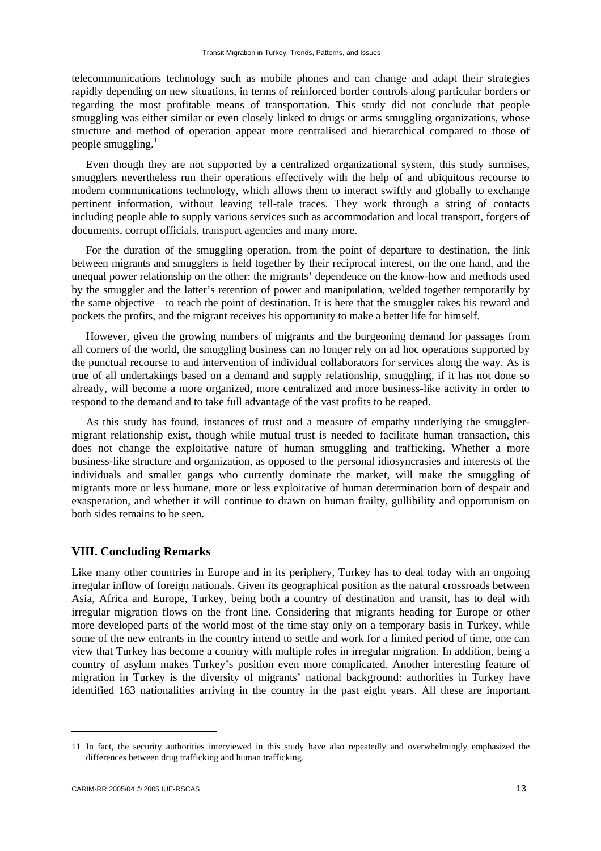telecommunications technology such as mobile phones and can change and adapt their strategies rapidly depending on new situations, in terms of reinforced border controls along particular borders or regarding the most profitable means of transportation. This study did not conclude that people smuggling was either similar or even closely linked to drugs or arms smuggling organizations, whose structure and method of operation appear more centralised and hierarchical compared to those of people smuggling.<sup>11</sup>

Even though they are not supported by a centralized organizational system, this study surmises, smugglers nevertheless run their operations effectively with the help of and ubiquitous recourse to modern communications technology, which allows them to interact swiftly and globally to exchange pertinent information, without leaving tell-tale traces. They work through a string of contacts including people able to supply various services such as accommodation and local transport, forgers of documents, corrupt officials, transport agencies and many more.

For the duration of the smuggling operation, from the point of departure to destination, the link between migrants and smugglers is held together by their reciprocal interest, on the one hand, and the unequal power relationship on the other: the migrants' dependence on the know-how and methods used by the smuggler and the latter's retention of power and manipulation, welded together temporarily by the same objective—to reach the point of destination. It is here that the smuggler takes his reward and pockets the profits, and the migrant receives his opportunity to make a better life for himself.

However, given the growing numbers of migrants and the burgeoning demand for passages from all corners of the world, the smuggling business can no longer rely on ad hoc operations supported by the punctual recourse to and intervention of individual collaborators for services along the way. As is true of all undertakings based on a demand and supply relationship, smuggling, if it has not done so already, will become a more organized, more centralized and more business-like activity in order to respond to the demand and to take full advantage of the vast profits to be reaped.

As this study has found, instances of trust and a measure of empathy underlying the smugglermigrant relationship exist, though while mutual trust is needed to facilitate human transaction, this does not change the exploitative nature of human smuggling and trafficking. Whether a more business-like structure and organization, as opposed to the personal idiosyncrasies and interests of the individuals and smaller gangs who currently dominate the market, will make the smuggling of migrants more or less humane, more or less exploitative of human determination born of despair and exasperation, and whether it will continue to drawn on human frailty, gullibility and opportunism on both sides remains to be seen.

# **VIII. Concluding Remarks**

Like many other countries in Europe and in its periphery, Turkey has to deal today with an ongoing irregular inflow of foreign nationals. Given its geographical position as the natural crossroads between Asia, Africa and Europe, Turkey, being both a country of destination and transit, has to deal with irregular migration flows on the front line. Considering that migrants heading for Europe or other more developed parts of the world most of the time stay only on a temporary basis in Turkey, while some of the new entrants in the country intend to settle and work for a limited period of time, one can view that Turkey has become a country with multiple roles in irregular migration. In addition, being a country of asylum makes Turkey's position even more complicated. Another interesting feature of migration in Turkey is the diversity of migrants' national background: authorities in Turkey have identified 163 nationalities arriving in the country in the past eight years. All these are important

<sup>11</sup> In fact, the security authorities interviewed in this study have also repeatedly and overwhelmingly emphasized the differences between drug trafficking and human trafficking.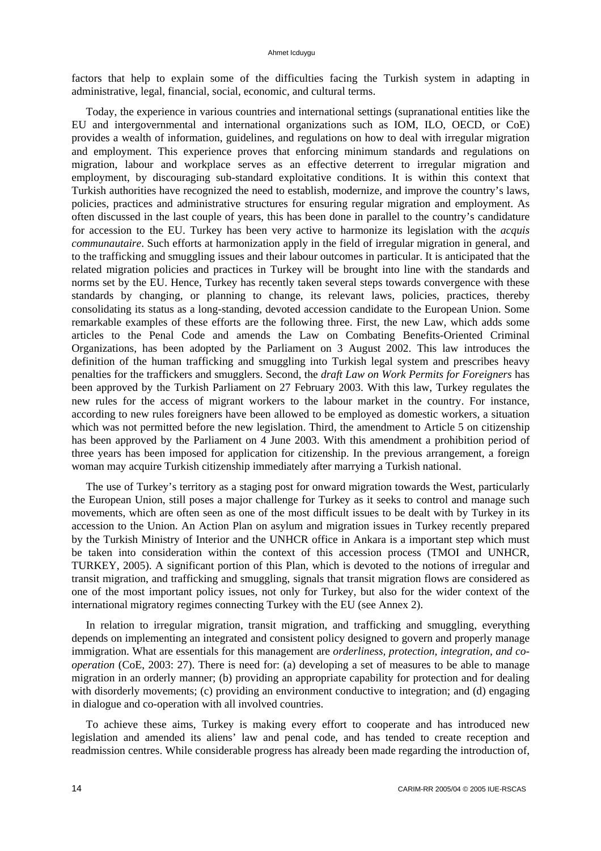factors that help to explain some of the difficulties facing the Turkish system in adapting in administrative, legal, financial, social, economic, and cultural terms.

Today, the experience in various countries and international settings (supranational entities like the EU and intergovernmental and international organizations such as IOM, ILO, OECD, or CoE) provides a wealth of information, guidelines, and regulations on how to deal with irregular migration and employment. This experience proves that enforcing minimum standards and regulations on migration, labour and workplace serves as an effective deterrent to irregular migration and employment, by discouraging sub-standard exploitative conditions. It is within this context that Turkish authorities have recognized the need to establish, modernize, and improve the country's laws, policies, practices and administrative structures for ensuring regular migration and employment. As often discussed in the last couple of years, this has been done in parallel to the country's candidature for accession to the EU. Turkey has been very active to harmonize its legislation with the *acquis communautaire*. Such efforts at harmonization apply in the field of irregular migration in general, and to the trafficking and smuggling issues and their labour outcomes in particular. It is anticipated that the related migration policies and practices in Turkey will be brought into line with the standards and norms set by the EU. Hence, Turkey has recently taken several steps towards convergence with these standards by changing, or planning to change, its relevant laws, policies, practices, thereby consolidating its status as a long-standing, devoted accession candidate to the European Union. Some remarkable examples of these efforts are the following three. First, the new Law, which adds some articles to the Penal Code and amends the Law on Combating Benefits-Oriented Criminal Organizations, has been adopted by the Parliament on 3 August 2002. This law introduces the definition of the human trafficking and smuggling into Turkish legal system and prescribes heavy penalties for the traffickers and smugglers. Second, the *draft Law on Work Permits for Foreigners* has been approved by the Turkish Parliament on 27 February 2003. With this law, Turkey regulates the new rules for the access of migrant workers to the labour market in the country. For instance, according to new rules foreigners have been allowed to be employed as domestic workers, a situation which was not permitted before the new legislation. Third, the amendment to Article 5 on citizenship has been approved by the Parliament on 4 June 2003. With this amendment a prohibition period of three years has been imposed for application for citizenship. In the previous arrangement, a foreign woman may acquire Turkish citizenship immediately after marrying a Turkish national.

The use of Turkey's territory as a staging post for onward migration towards the West, particularly the European Union, still poses a major challenge for Turkey as it seeks to control and manage such movements, which are often seen as one of the most difficult issues to be dealt with by Turkey in its accession to the Union. An Action Plan on asylum and migration issues in Turkey recently prepared by the Turkish Ministry of Interior and the UNHCR office in Ankara is a important step which must be taken into consideration within the context of this accession process (TMOI and UNHCR, TURKEY, 2005). A significant portion of this Plan, which is devoted to the notions of irregular and transit migration, and trafficking and smuggling, signals that transit migration flows are considered as one of the most important policy issues, not only for Turkey, but also for the wider context of the international migratory regimes connecting Turkey with the EU (see Annex 2).

In relation to irregular migration, transit migration, and trafficking and smuggling, everything depends on implementing an integrated and consistent policy designed to govern and properly manage immigration. What are essentials for this management are *orderliness, protection, integration, and cooperation* (CoE, 2003: 27). There is need for: (a) developing a set of measures to be able to manage migration in an orderly manner; (b) providing an appropriate capability for protection and for dealing with disorderly movements; (c) providing an environment conductive to integration; and (d) engaging in dialogue and co-operation with all involved countries.

To achieve these aims, Turkey is making every effort to cooperate and has introduced new legislation and amended its aliens' law and penal code, and has tended to create reception and readmission centres. While considerable progress has already been made regarding the introduction of,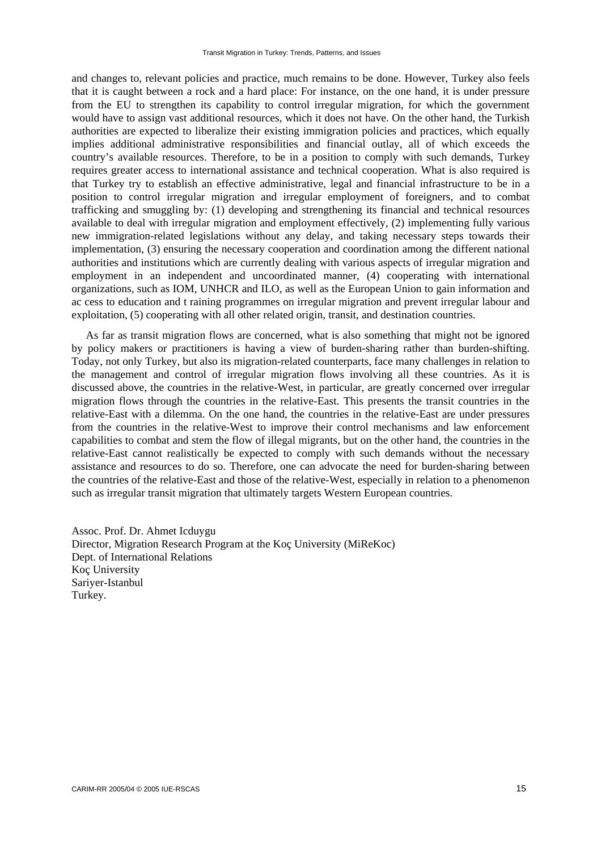and changes to, relevant policies and practice, much remains to be done. However, Turkey also feels that it is caught between a rock and a hard place: For instance, on the one hand, it is under pressure from the EU to strengthen its capability to control irregular migration, for which the government would have to assign vast additional resources, which it does not have. On the other hand, the Turkish authorities are expected to liberalize their existing immigration policies and practices, which equally implies additional administrative responsibilities and financial outlay, all of which exceeds the country's available resources. Therefore, to be in a position to comply with such demands, Turkey requires greater access to international assistance and technical cooperation. What is also required is that Turkey try to establish an effective administrative, legal and financial infrastructure to be in a position to control irregular migration and irregular employment of foreigners, and to combat trafficking and smuggling by: (1) developing and strengthening its financial and technical resources available to deal with irregular migration and employment effectively, (2) implementing fully various new immigration-related legislations without any delay, and taking necessary steps towards their implementation, (3) ensuring the necessary cooperation and coordination among the different national authorities and institutions which are currently dealing with various aspects of irregular migration and employment in an independent and uncoordinated manner, (4) cooperating with international organizations, such as IOM, UNHCR and ILO, as well as the European Union to gain information and ac cess to education and t raining programmes on irregular migration and prevent irregular labour and exploitation, (5) cooperating with all other related origin, transit, and destination countries.

As far as transit migration flows are concerned, what is also something that might not be ignored by policy makers or practitioners is having a view of burden-sharing rather than burden-shifting. Today, not only Turkey, but also its migration-related counterparts, face many challenges in relation to the management and control of irregular migration flows involving all these countries. As it is discussed above, the countries in the relative-West, in particular, are greatly concerned over irregular migration flows through the countries in the relative-East. This presents the transit countries in the relative-East with a dilemma. On the one hand, the countries in the relative-East are under pressures from the countries in the relative-West to improve their control mechanisms and law enforcement capabilities to combat and stem the flow of illegal migrants, but on the other hand, the countries in the relative-East cannot realistically be expected to comply with such demands without the necessary assistance and resources to do so. Therefore, one can advocate the need for burden-sharing between the countries of the relative-East and those of the relative-West, especially in relation to a phenomenon such as irregular transit migration that ultimately targets Western European countries.

Assoc. Prof. Dr. Ahmet Icduygu Director, Migration Research Program at the Koç University (MiReKoc) Dept. of International Relations Koç University Sariyer-Istanbul Turkey.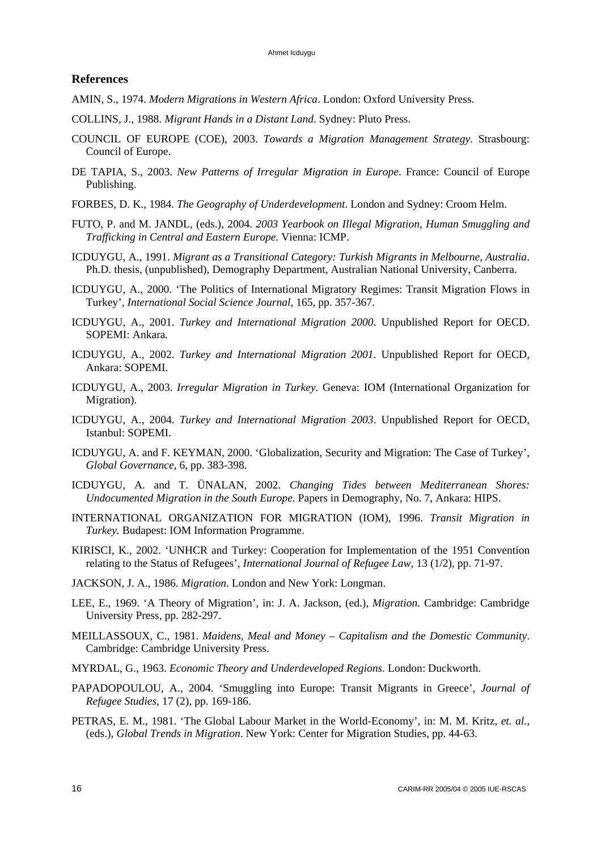### **References**

- AMIN, S., 1974. *Modern Migrations in Western Africa*. London: Oxford University Press.
- COLLINS, J., 1988. *Migrant Hands in a Distant Land*. Sydney: Pluto Press.
- COUNCIL OF EUROPE (COE), 2003. *Towards a Migration Management Strategy*. Strasbourg: Council of Europe.
- DE TAPIA, S., 2003. *New Patterns of Irregular Migration in Europe*. France: Council of Europe Publishing.
- FORBES, D. K., 1984. *The Geography of Underdevelopment*. London and Sydney: Croom Helm.
- FUTO, P. and M. JANDL, (eds.), 2004. *2003 Yearbook on Illegal Migration, Human Smuggling and Trafficking in Central and Eastern Europe*. Vienna: ICMP.
- ICDUYGU, A., 1991. *Migrant as a Transitional Category: Turkish Migrants in Melbourne, Australia*. Ph.D. thesis, (unpublished), Demography Department, Australian National University, Canberra.
- ICDUYGU, A., 2000. 'The Politics of International Migratory Regimes: Transit Migration Flows in Turkey', *International Social Science Journal*, 165, pp. 357-367.
- ICDUYGU, A., 2001. *Turkey and International Migration 2000*. Unpublished Report for OECD. SOPEMI: Ankara*.*
- ICDUYGU, A., 2002. *Turkey and International Migration 2001*. Unpublished Report for OECD, Ankara: SOPEMI.
- ICDUYGU, A., 2003. *Irregular Migration in Turkey*. Geneva: IOM (International Organization for Migration).
- ICDUYGU, A., 2004. *Turkey and International Migration 2003*. Unpublished Report for OECD, Istanbul: SOPEMI.
- ICDUYGU, A. and F. KEYMAN, 2000. 'Globalization, Security and Migration: The Case of Turkey', *Global Governance*, 6, pp. 383-398.
- ICDUYGU, A. and T. ÜNALAN, 2002. *Changing Tides between Mediterranean Shores: Undocumented Migration in the South Europe*. Papers in Demography, No. 7, Ankara: HIPS.
- INTERNATIONAL ORGANIZATION FOR MIGRATION (IOM), 1996. *Transit Migration in Turkey.* Budapest: IOM Information Programme.
- KIRISCI, K., 2002. 'UNHCR and Turkey: Cooperation for Implementation of the 1951 Convention relating to the Status of Refugees', *International Journal of Refugee Law*, 13 (1/2), pp. 71-97.
- JACKSON, J. A., 1986. *Migration*. London and New York: Longman.
- LEE, E., 1969. 'A Theory of Migration', in: J. A. Jackson, (ed.), *Migration*. Cambridge: Cambridge University Press, pp. 282-297.
- MEILLASSOUX, C., 1981. *Maidens, Meal and Money Capitalism and the Domestic Community*. Cambridge: Cambridge University Press.
- MYRDAL, G., 1963. *Economic Theory and Underdeveloped Regions*. London: Duckworth.
- PAPADOPOULOU, A., 2004. 'Smuggling into Europe: Transit Migrants in Greece', *Journal of Refugee Studies*, 17 (2), pp. 169-186.
- PETRAS, E. M., 1981. 'The Global Labour Market in the World-Economy', in: M. M. Kritz, *et. al.*, (eds.), *Global Trends in Migration*. New York: Center for Migration Studies, pp. 44-63.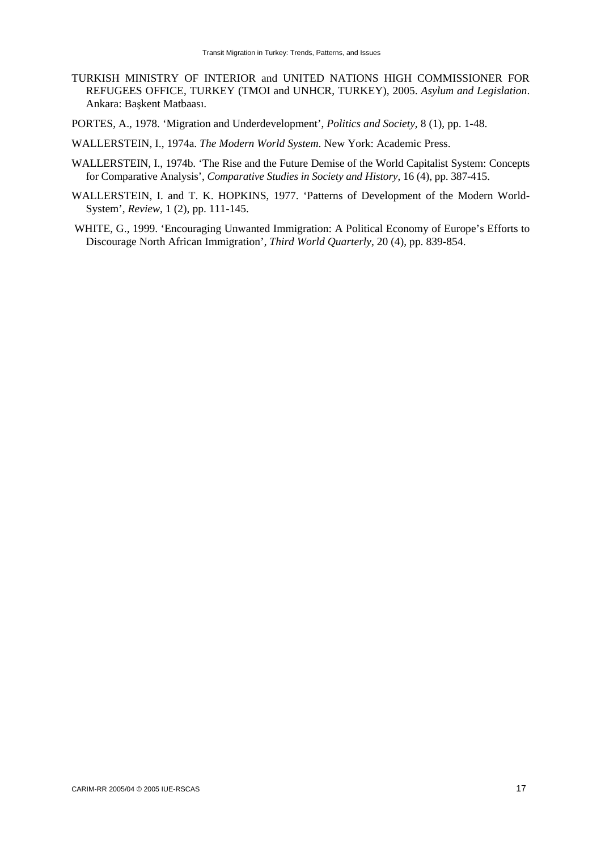- TURKISH MINISTRY OF INTERIOR and UNITED NATIONS HIGH COMMISSIONER FOR REFUGEES OFFICE, TURKEY (TMOI and UNHCR, TURKEY), 2005. *Asylum and Legislation*. Ankara: Başkent Matbaası.
- PORTES, A., 1978. 'Migration and Underdevelopment', *Politics and Society*, 8 (1), pp. 1-48.

WALLERSTEIN, I., 1974a. *The Modern World System*. New York: Academic Press.

- WALLERSTEIN, I., 1974b. 'The Rise and the Future Demise of the World Capitalist System: Concepts for Comparative Analysis', *Comparative Studies in Society and History*, 16 (4), pp. 387-415.
- WALLERSTEIN, I. and T. K. HOPKINS, 1977. 'Patterns of Development of the Modern World-System', *Review*, 1 (2), pp. 111-145.
- WHITE, G., 1999. 'Encouraging Unwanted Immigration: A Political Economy of Europe's Efforts to Discourage North African Immigration', *Third World Quarterly*, 20 (4), pp. 839-854.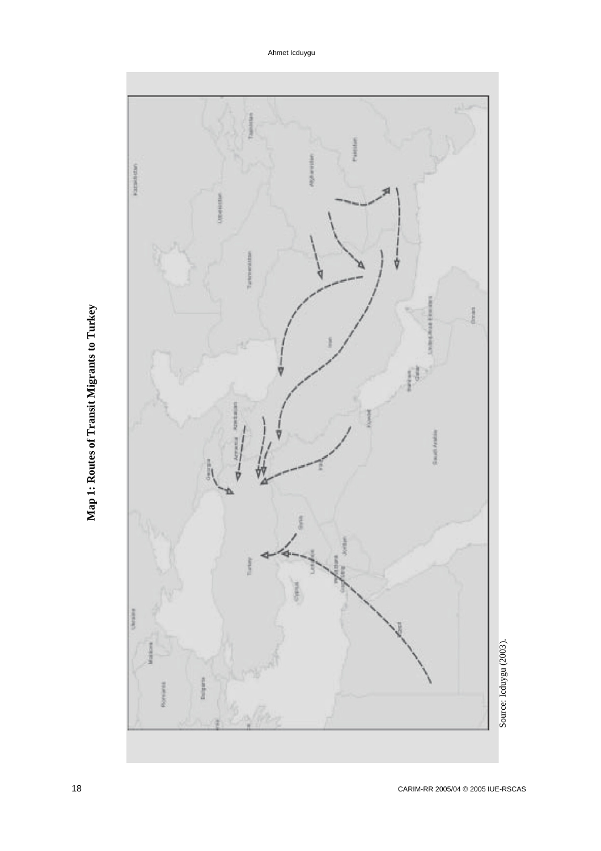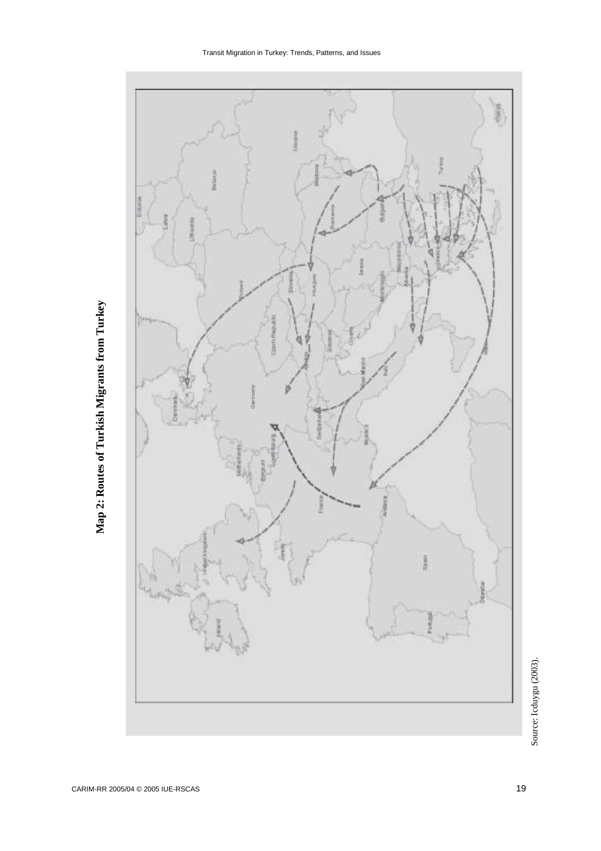



Source: Icduygu (2003). Source: Icduygu (2003).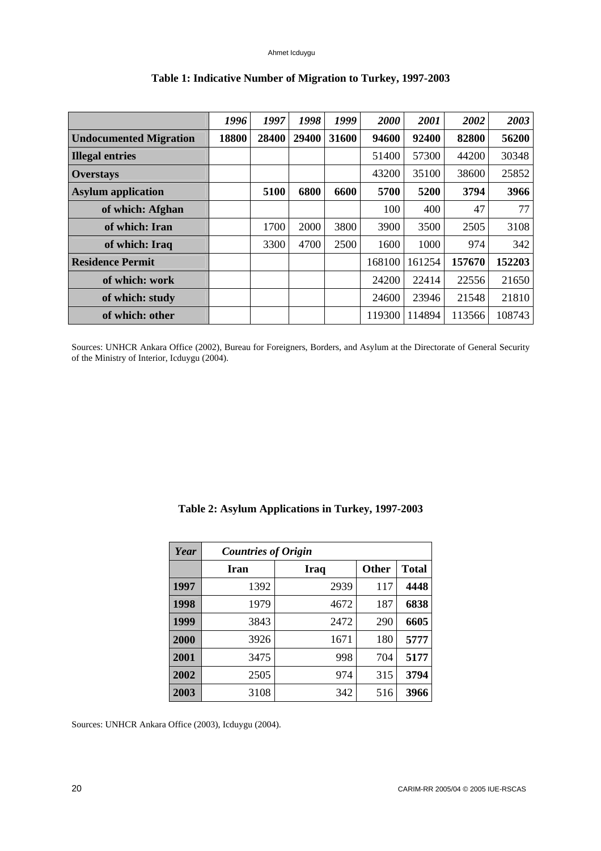|                               | 1996  | 1997  | 1998  | 1999  | 2000   | 2001   | 2002   | 2003   |
|-------------------------------|-------|-------|-------|-------|--------|--------|--------|--------|
| <b>Undocumented Migration</b> | 18800 | 28400 | 29400 | 31600 | 94600  | 92400  | 82800  | 56200  |
| <b>Illegal entries</b>        |       |       |       |       | 51400  | 57300  | 44200  | 30348  |
| <b>Overstays</b>              |       |       |       |       | 43200  | 35100  | 38600  | 25852  |
| <b>Asylum</b> application     |       | 5100  | 6800  | 6600  | 5700   | 5200   | 3794   | 3966   |
| of which: Afghan              |       |       |       |       | 100    | 400    | 47     | 77     |
| of which: Iran                |       | 1700  | 2000  | 3800  | 3900   | 3500   | 2505   | 3108   |
| of which: Iraq                |       | 3300  | 4700  | 2500  | 1600   | 1000   | 974    | 342    |
| <b>Residence Permit</b>       |       |       |       |       | 168100 | 161254 | 157670 | 152203 |
| of which: work                |       |       |       |       | 24200  | 22414  | 22556  | 21650  |
| of which: study               |       |       |       |       | 24600  | 23946  | 21548  | 21810  |
| of which: other               |       |       |       |       | 119300 | 114894 | 113566 | 108743 |

# **Table 1: Indicative Number of Migration to Turkey, 1997-2003**

Sources: UNHCR Ankara Office (2002), Bureau for Foreigners, Borders, and Asylum at the Directorate of General Security of the Ministry of Interior, Icduygu (2004).

| Year | <b>Countries of Origin</b> |             |              |              |  |  |  |
|------|----------------------------|-------------|--------------|--------------|--|--|--|
|      | Iran                       | <b>Iraq</b> | <b>Other</b> | <b>Total</b> |  |  |  |
| 1997 | 1392                       | 2939        | 117          | 4448         |  |  |  |
| 1998 | 1979                       | 4672        | 187          | 6838         |  |  |  |
| 1999 | 3843                       | 2472        | 290          | 6605         |  |  |  |
| 2000 | 3926                       | 1671        | 180          | 5777         |  |  |  |
| 2001 | 3475                       | 998         | 704          | 5177         |  |  |  |
| 2002 | 2505                       | 974         | 315          | 3794         |  |  |  |
| 2003 | 3108                       | 342         | 516          | 3966         |  |  |  |

**Table 2: Asylum Applications in Turkey, 1997-2003** 

Sources: UNHCR Ankara Office (2003), Icduygu (2004).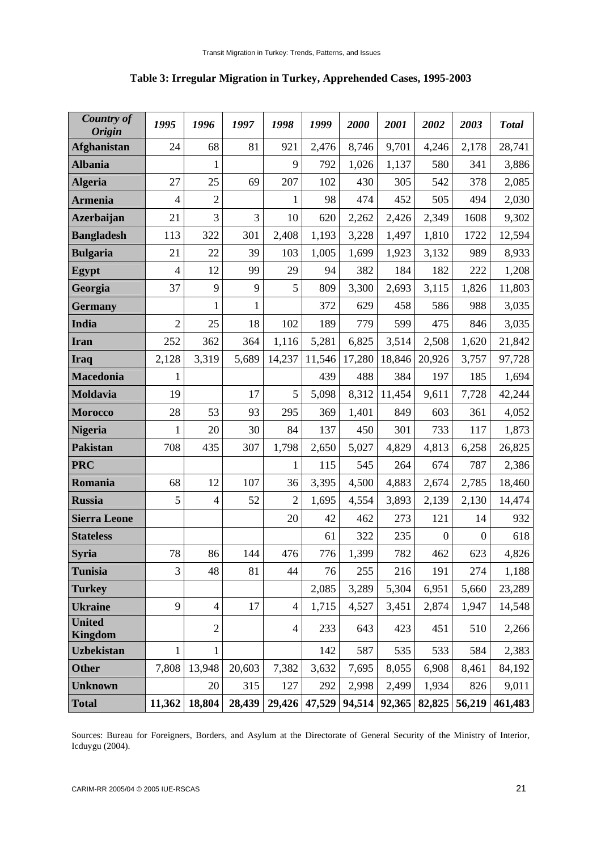| <b>Country of</b><br><b>Origin</b> | 1995           | 1996           | 1997         | 1998           | 1999   | 2000   | 2001   | 2002             | 2003             | <b>Total</b> |
|------------------------------------|----------------|----------------|--------------|----------------|--------|--------|--------|------------------|------------------|--------------|
| <b>Afghanistan</b>                 | 24             | 68             | 81           | 921            | 2,476  | 8,746  | 9,701  | 4,246            | 2,178            | 28,741       |
| <b>Albania</b>                     |                | $\mathbf{1}$   |              | 9              | 792    | 1,026  | 1,137  | 580              | 341              | 3,886        |
| <b>Algeria</b>                     | 27             | 25             | 69           | 207            | 102    | 430    | 305    | 542              | 378              | 2,085        |
| <b>Armenia</b>                     | $\overline{4}$ | $\overline{2}$ |              | 1              | 98     | 474    | 452    | 505              | 494              | 2,030        |
| <b>Azerbaijan</b>                  | 21             | 3              | 3            | 10             | 620    | 2,262  | 2,426  | 2,349            | 1608             | 9,302        |
| <b>Bangladesh</b>                  | 113            | 322            | 301          | 2,408          | 1,193  | 3,228  | 1,497  | 1,810            | 1722             | 12,594       |
| <b>Bulgaria</b>                    | 21             | 22             | 39           | 103            | 1,005  | 1,699  | 1,923  | 3,132            | 989              | 8,933        |
| Egypt                              | $\overline{4}$ | 12             | 99           | 29             | 94     | 382    | 184    | 182              | 222              | 1,208        |
| Georgia                            | 37             | 9              | 9            | 5              | 809    | 3,300  | 2,693  | 3,115            | 1,826            | 11,803       |
| <b>Germany</b>                     |                | $\mathbf{1}$   | $\mathbf{1}$ |                | 372    | 629    | 458    | 586              | 988              | 3,035        |
| <b>India</b>                       | $\overline{2}$ | 25             | 18           | 102            | 189    | 779    | 599    | 475              | 846              | 3,035        |
| <b>Iran</b>                        | 252            | 362            | 364          | 1,116          | 5,281  | 6,825  | 3,514  | 2,508            | 1,620            | 21,842       |
| <b>Iraq</b>                        | 2,128          | 3,319          | 5,689        | 14,237         | 11,546 | 17,280 | 18,846 | 20,926           | 3,757            | 97,728       |
| <b>Macedonia</b>                   | 1              |                |              |                | 439    | 488    | 384    | 197              | 185              | 1,694        |
| Moldavia                           | 19             |                | 17           | 5              | 5,098  | 8,312  | 11,454 | 9,611            | 7,728            | 42,244       |
| <b>Morocco</b>                     | 28             | 53             | 93           | 295            | 369    | 1,401  | 849    | 603              | 361              | 4,052        |
| <b>Nigeria</b>                     | 1              | 20             | 30           | 84             | 137    | 450    | 301    | 733              | 117              | 1,873        |
| <b>Pakistan</b>                    | 708            | 435            | 307          | 1,798          | 2,650  | 5,027  | 4,829  | 4,813            | 6,258            | 26,825       |
| <b>PRC</b>                         |                |                |              | 1              | 115    | 545    | 264    | 674              | 787              | 2,386        |
| Romania                            | 68             | 12             | 107          | 36             | 3,395  | 4,500  | 4,883  | 2,674            | 2,785            | 18,460       |
| <b>Russia</b>                      | 5              | $\overline{4}$ | 52           | $\overline{2}$ | 1,695  | 4,554  | 3,893  | 2,139            | 2,130            | 14,474       |
| <b>Sierra Leone</b>                |                |                |              | $20\,$         | 42     | 462    | 273    | 121              | 14               | 932          |
| <b>Stateless</b>                   |                |                |              |                | 61     | 322    | 235    | $\boldsymbol{0}$ | $\boldsymbol{0}$ | 618          |
| <b>Syria</b>                       | 78             | 86             | 144          | 476            | 776    | 1,399  | 782    | 462              | 623              | 4,826        |
| <b>Tunisia</b>                     | 3              | 48             | 81           | 44             | 76     | 255    | 216    | 191              | 274              | 1,188        |
| <b>Turkey</b>                      |                |                |              |                | 2,085  | 3,289  | 5,304  | 6,951            | 5,660            | 23,289       |
| <b>Ukraine</b>                     | 9              | $\overline{4}$ | 17           | $\overline{4}$ | 1,715  | 4,527  | 3,451  | 2,874            | 1,947            | 14,548       |
| <b>United</b><br><b>Kingdom</b>    |                | $\overline{2}$ |              | $\overline{4}$ | 233    | 643    | 423    | 451              | 510              | 2,266        |
| <b>Uzbekistan</b>                  | $\mathbf{1}$   | $\mathbf{1}$   |              |                | 142    | 587    | 535    | 533              | 584              | 2,383        |
| <b>Other</b>                       | 7,808          | 13,948         | 20,603       | 7,382          | 3,632  | 7,695  | 8,055  | 6,908            | 8,461            | 84,192       |
| <b>Unknown</b>                     |                | 20             | 315          | 127            | 292    | 2,998  | 2,499  | 1,934            | 826              | 9,011        |
| <b>Total</b>                       | 11,362         | 18,804         | 28,439       | 29,426         | 47,529 | 94,514 | 92,365 | 82,825           | 56,219           | 461,483      |

# **Table 3: Irregular Migration in Turkey, Apprehended Cases, 1995-2003**

Sources: Bureau for Foreigners, Borders, and Asylum at the Directorate of General Security of the Ministry of Interior, Icduygu (2004).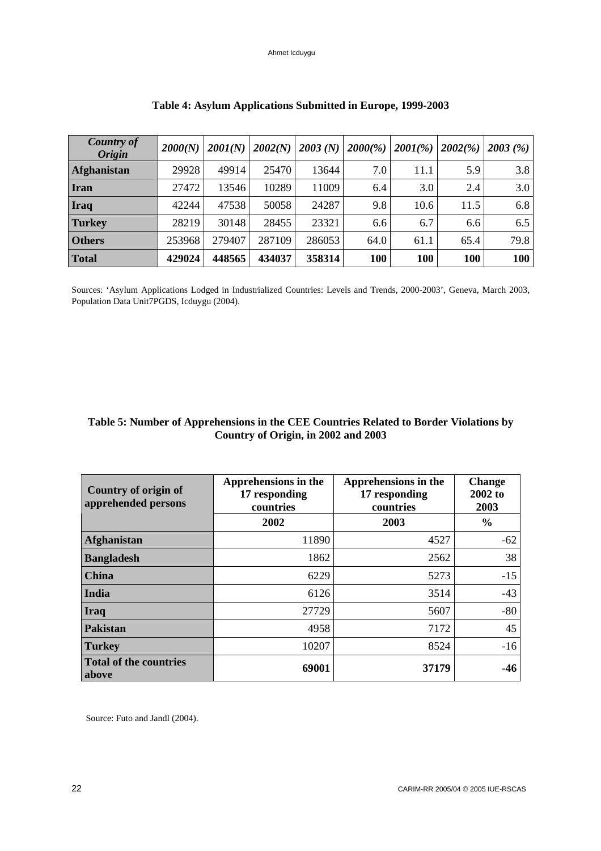| <b>Country of</b><br><b>Origin</b> | 2000(N) | 2001(N) | 2002(N) | 2003(N) | 2000(%) | $2001(\% )$ | 2002(%) | 2003(%) |
|------------------------------------|---------|---------|---------|---------|---------|-------------|---------|---------|
| Afghanistan                        | 29928   | 49914   | 25470   | 13644   | 7.0     | 11.1        | 5.9     | 3.8     |
| <b>Iran</b>                        | 27472   | 13546   | 10289   | 11009   | 6.4     | 3.0         | 2.4     | 3.0     |
| <b>Iraq</b>                        | 42244   | 47538   | 50058   | 24287   | 9.8     | 10.6        | 11.5    | 6.8     |
| <b>Turkey</b>                      | 28219   | 30148   | 28455   | 23321   | 6.6     | 6.7         | 6.6     | 6.5     |
| <b>Others</b>                      | 253968  | 279407  | 287109  | 286053  | 64.0    | 61.1        | 65.4    | 79.8    |
| <b>Total</b>                       | 429024  | 448565  | 434037  | 358314  | 100     | 100         | 100     | 100     |

# **Table 4: Asylum Applications Submitted in Europe, 1999-2003**

Sources: 'Asylum Applications Lodged in Industrialized Countries: Levels and Trends, 2000-2003', Geneva, March 2003, Population Data Unit7PGDS, Icduygu (2004).

# **Table 5: Number of Apprehensions in the CEE Countries Related to Border Violations by Country of Origin, in 2002 and 2003**

| Country of origin of<br>apprehended persons | Apprehensions in the<br>17 responding<br>countries | Apprehensions in the<br>17 responding<br>countries | <b>Change</b><br>$2002$ to<br>2003 |
|---------------------------------------------|----------------------------------------------------|----------------------------------------------------|------------------------------------|
|                                             | 2002                                               | 2003                                               | $\%$                               |
| Afghanistan                                 | 11890                                              | 4527                                               | $-62$                              |
| <b>Bangladesh</b>                           | 1862                                               | 2562                                               | 38                                 |
| <b>China</b>                                | 6229                                               | 5273                                               | $-15$                              |
| India                                       | 6126                                               | 3514                                               | $-43$                              |
| Iraq                                        | 27729                                              | 5607                                               | $-80$                              |
| Pakistan                                    | 4958                                               | 7172                                               | 45                                 |
| <b>Turkey</b>                               | 10207                                              | 8524                                               | $-16$                              |
| <b>Total of the countries</b><br>  above    | 69001                                              | 37179                                              | $-46$                              |

Source: Futo and Jandl (2004).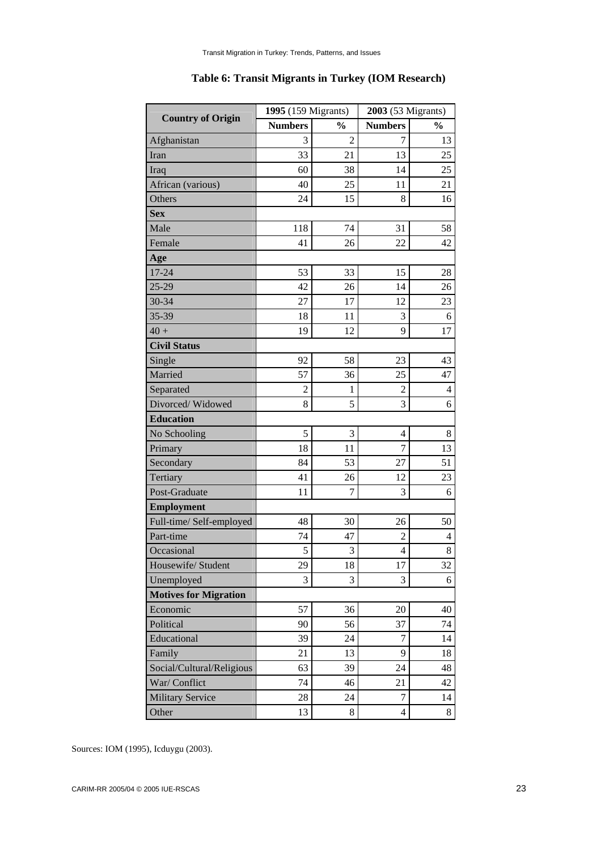|                              | 1995 (159 Migrants) |                | 2003 (53 Migrants) |                |  |
|------------------------------|---------------------|----------------|--------------------|----------------|--|
| <b>Country of Origin</b>     | <b>Numbers</b>      | $\frac{0}{0}$  | <b>Numbers</b>     | $\frac{0}{0}$  |  |
| Afghanistan                  | 3                   | $\overline{2}$ | 7                  | 13             |  |
| Iran                         | 33                  | 21             | 13                 | 25             |  |
| Iraq                         | 60                  | 38             | 14                 | 25             |  |
| African (various)            | 40                  | 25             | 11                 | 21             |  |
| Others                       | 24                  | 15             | 8                  | 16             |  |
| <b>Sex</b>                   |                     |                |                    |                |  |
| Male                         | 118                 | 74             | 31                 | 58             |  |
| Female                       | 41                  | 26             | 22                 | 42             |  |
| Age                          |                     |                |                    |                |  |
| 17-24                        | 53                  | 33             | 15                 | 28             |  |
| $25 - 29$                    | 42                  | 26             | 14                 | 26             |  |
| 30-34                        | 27                  | 17             | 12                 | 23             |  |
| 35-39                        | 18                  | 11             | 3                  | 6              |  |
| $40 +$                       | 19                  | 12             | 9                  | 17             |  |
| <b>Civil Status</b>          |                     |                |                    |                |  |
| Single                       | 92                  | 58             | 23                 | 43             |  |
| Married                      | 57                  | 36             | 25                 | 47             |  |
| Separated                    | $\overline{2}$      | 1              | $\overline{2}$     | $\overline{4}$ |  |
| Divorced/Widowed             | 8                   | 5              | 3                  | 6              |  |
| <b>Education</b>             |                     |                |                    |                |  |
| No Schooling                 | 5                   | 3              | 4                  | 8              |  |
| Primary                      | 18                  | 11             | 7                  | 13             |  |
| Secondary                    | 84                  | 53             | 27                 | 51             |  |
| Tertiary                     | 41                  | 26             | 12                 | 23             |  |
| Post-Graduate                | 11                  | 7              | 3                  | 6              |  |
| <b>Employment</b>            |                     |                |                    |                |  |
| Full-time/ Self-employed     | 48                  | 30             | 26                 | 50             |  |
| Part-time                    | 74                  | 47             | $\overline{c}$     | 4              |  |
| Occasional                   | 5                   | 3              | 4                  | 8              |  |
| Housewife/ Student           | 29                  | 18             | 17                 | 32             |  |
| Unemployed                   | 3                   | 3              | 3                  | 6              |  |
| <b>Motives for Migration</b> |                     |                |                    |                |  |
| Economic                     | 57                  | 36             | 20                 | 40             |  |
| Political                    | 90                  | 56             | 37                 | 74             |  |
| Educational                  | 39                  | 24             | 7                  | 14             |  |
| Family                       | 21                  | 13             | 9                  | 18             |  |
| Social/Cultural/Religious    | 63                  | 39             | 24                 | 48             |  |
| War/ Conflict                | 74                  | 46             | 21                 | 42             |  |
| <b>Military Service</b>      | 28                  | 24             | $\tau$             | 14             |  |
| Other                        | 13                  | $\,8$          | $\overline{4}$     | 8              |  |

# **Table 6: Transit Migrants in Turkey (IOM Research)**

Sources: IOM (1995), Icduygu (2003).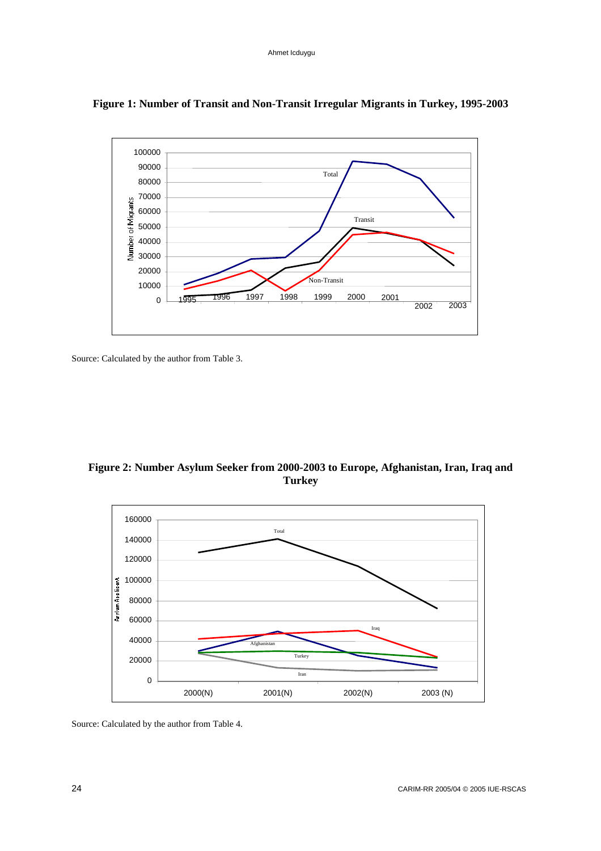

# **Figure 1: Number of Transit and Non-Transit Irregular Migrants in Turkey, 1995-2003**

Source: Calculated by the author from Table 3.

**Figure 2: Number Asylum Seeker from 2000-2003 to Europe, Afghanistan, Iran, Iraq and Turkey** 



Source: Calculated by the author from Table 4.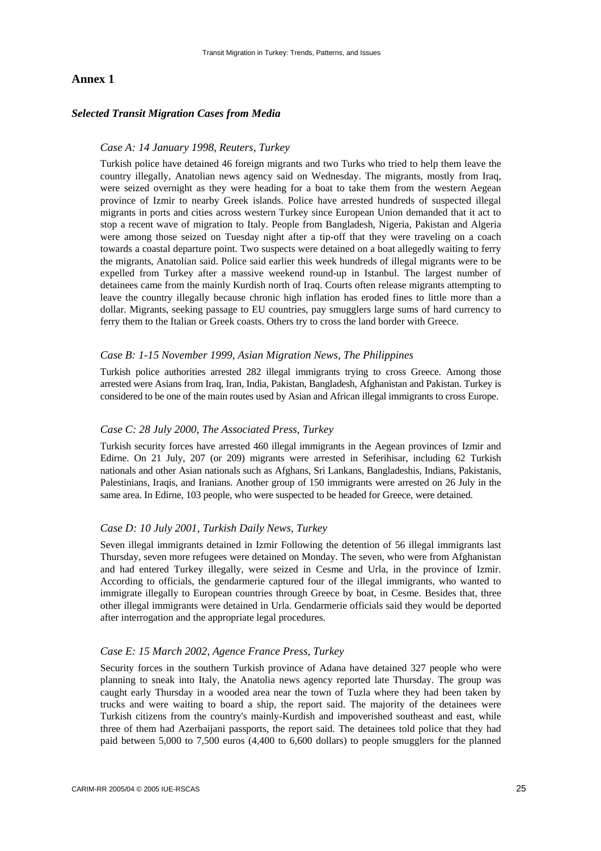### **Annex 1**

### *Selected Transit Migration Cases from Media*

### *Case A: 14 January 1998, Reuters, Turkey*

Turkish police have detained 46 foreign migrants and two Turks who tried to help them leave the country illegally, Anatolian news agency said on Wednesday. The migrants, mostly from Iraq, were seized overnight as they were heading for a boat to take them from the western Aegean province of Izmir to nearby Greek islands. Police have arrested hundreds of suspected illegal migrants in ports and cities across western Turkey since European Union demanded that it act to stop a recent wave of migration to Italy. People from Bangladesh, Nigeria, Pakistan and Algeria were among those seized on Tuesday night after a tip-off that they were traveling on a coach towards a coastal departure point. Two suspects were detained on a boat allegedly waiting to ferry the migrants, Anatolian said. Police said earlier this week hundreds of illegal migrants were to be expelled from Turkey after a massive weekend round-up in Istanbul. The largest number of detainees came from the mainly Kurdish north of Iraq. Courts often release migrants attempting to leave the country illegally because chronic high inflation has eroded fines to little more than a dollar. Migrants, seeking passage to EU countries, pay smugglers large sums of hard currency to ferry them to the Italian or Greek coasts. Others try to cross the land border with Greece.

#### *Case B: 1-15 November 1999, Asian Migration News, The Philippines*

Turkish police authorities arrested 282 illegal immigrants trying to cross Greece. Among those arrested were Asians from Iraq, Iran, India, Pakistan, Bangladesh, Afghanistan and Pakistan. Turkey is considered to be one of the main routes used by Asian and African illegal immigrants to cross Europe.

### *Case C: 28 July 2000, The Associated Press, Turkey*

Turkish security forces have arrested 460 illegal immigrants in the Aegean provinces of Izmir and Edirne. On 21 July, 207 (or 209) migrants were arrested in Seferihisar, including 62 Turkish nationals and other Asian nationals such as Afghans, Sri Lankans, Bangladeshis, Indians, Pakistanis, Palestinians, Iraqis, and Iranians. Another group of 150 immigrants were arrested on 26 July in the same area. In Edirne, 103 people, who were suspected to be headed for Greece, were detained.

#### *Case D: 10 July 2001, Turkish Daily News, Turkey*

Seven illegal immigrants detained in Izmir Following the detention of 56 illegal immigrants last Thursday, seven more refugees were detained on Monday. The seven, who were from Afghanistan and had entered Turkey illegally, were seized in Cesme and Urla, in the province of Izmir. According to officials, the gendarmerie captured four of the illegal immigrants, who wanted to immigrate illegally to European countries through Greece by boat, in Cesme. Besides that, three other illegal immigrants were detained in Urla. Gendarmerie officials said they would be deported after interrogation and the appropriate legal procedures.

#### *Case E: 15 March 2002, Agence France Press, Turkey*

Security forces in the southern Turkish province of Adana have detained 327 people who were planning to sneak into Italy, the Anatolia news agency reported late Thursday. The group was caught early Thursday in a wooded area near the town of Tuzla where they had been taken by trucks and were waiting to board a ship, the report said. The majority of the detainees were Turkish citizens from the country's mainly-Kurdish and impoverished southeast and east, while three of them had Azerbaijani passports, the report said. The detainees told police that they had paid between 5,000 to 7,500 euros (4,400 to 6,600 dollars) to people smugglers for the planned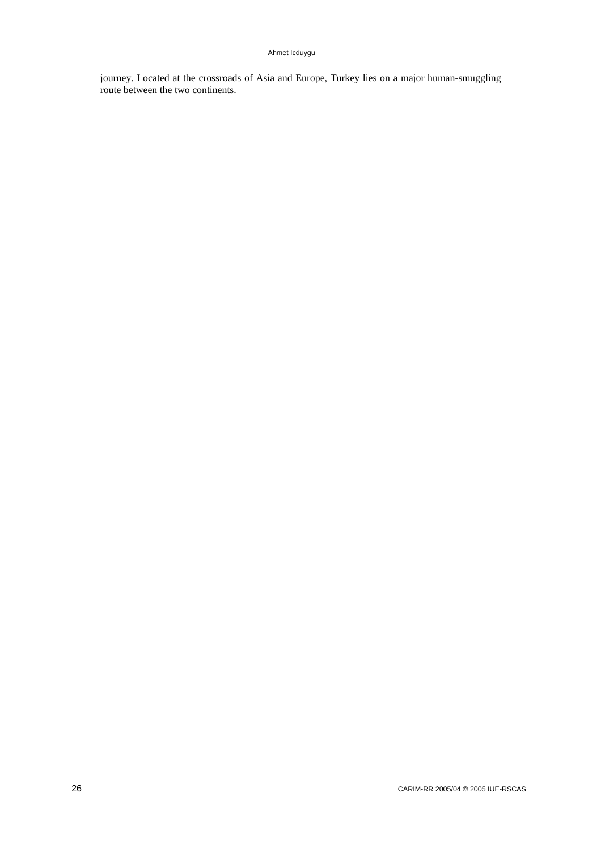journey. Located at the crossroads of Asia and Europe, Turkey lies on a major human-smuggling route between the two continents.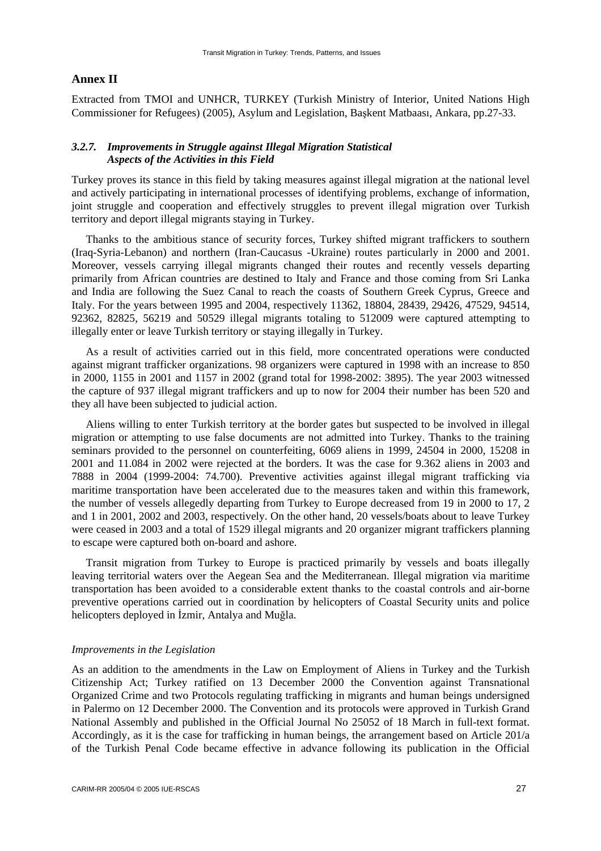### **Annex II**

Extracted from TMOI and UNHCR, TURKEY (Turkish Ministry of Interior, United Nations High Commissioner for Refugees) (2005), Asylum and Legislation, Başkent Matbaası, Ankara, pp.27-33.

# *3.2.7. Improvements in Struggle against Illegal Migration Statistical Aspects of the Activities in this Field*

Turkey proves its stance in this field by taking measures against illegal migration at the national level and actively participating in international processes of identifying problems, exchange of information, joint struggle and cooperation and effectively struggles to prevent illegal migration over Turkish territory and deport illegal migrants staying in Turkey.

Thanks to the ambitious stance of security forces, Turkey shifted migrant traffickers to southern (Iraq-Syria-Lebanon) and northern (Iran-Caucasus -Ukraine) routes particularly in 2000 and 2001. Moreover, vessels carrying illegal migrants changed their routes and recently vessels departing primarily from African countries are destined to Italy and France and those coming from Sri Lanka and India are following the Suez Canal to reach the coasts of Southern Greek Cyprus, Greece and Italy. For the years between 1995 and 2004, respectively 11362, 18804, 28439, 29426, 47529, 94514, 92362, 82825, 56219 and 50529 illegal migrants totaling to 512009 were captured attempting to illegally enter or leave Turkish territory or staying illegally in Turkey.

As a result of activities carried out in this field, more concentrated operations were conducted against migrant trafficker organizations. 98 organizers were captured in 1998 with an increase to 850 in 2000, 1155 in 2001 and 1157 in 2002 (grand total for 1998-2002: 3895). The year 2003 witnessed the capture of 937 illegal migrant traffickers and up to now for 2004 their number has been 520 and they all have been subjected to judicial action.

Aliens willing to enter Turkish territory at the border gates but suspected to be involved in illegal migration or attempting to use false documents are not admitted into Turkey. Thanks to the training seminars provided to the personnel on counterfeiting, 6069 aliens in 1999, 24504 in 2000, 15208 in 2001 and 11.084 in 2002 were rejected at the borders. It was the case for 9.362 aliens in 2003 and 7888 in 2004 (1999-2004: 74.700). Preventive activities against illegal migrant trafficking via maritime transportation have been accelerated due to the measures taken and within this framework, the number of vessels allegedly departing from Turkey to Europe decreased from 19 in 2000 to 17, 2 and 1 in 2001, 2002 and 2003, respectively. On the other hand, 20 vessels/boats about to leave Turkey were ceased in 2003 and a total of 1529 illegal migrants and 20 organizer migrant traffickers planning to escape were captured both on-board and ashore.

Transit migration from Turkey to Europe is practiced primarily by vessels and boats illegally leaving territorial waters over the Aegean Sea and the Mediterranean. Illegal migration via maritime transportation has been avoided to a considerable extent thanks to the coastal controls and air-borne preventive operations carried out in coordination by helicopters of Coastal Security units and police helicopters deployed in İzmir, Antalya and Muğla.

### *Improvements in the Legislation*

As an addition to the amendments in the Law on Employment of Aliens in Turkey and the Turkish Citizenship Act; Turkey ratified on 13 December 2000 the Convention against Transnational Organized Crime and two Protocols regulating trafficking in migrants and human beings undersigned in Palermo on 12 December 2000. The Convention and its protocols were approved in Turkish Grand National Assembly and published in the Official Journal No 25052 of 18 March in full-text format. Accordingly, as it is the case for trafficking in human beings, the arrangement based on Article 201/a of the Turkish Penal Code became effective in advance following its publication in the Official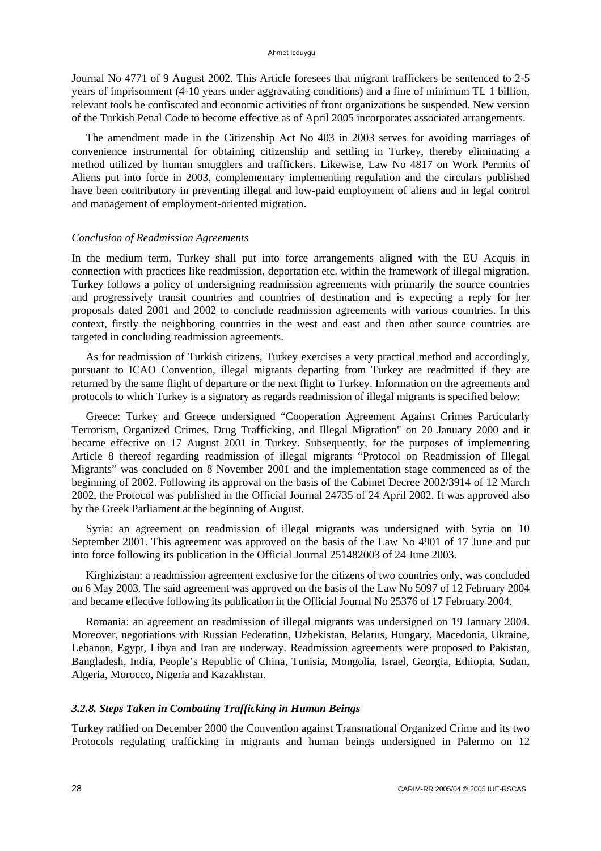Journal No 4771 of 9 August 2002. This Article foresees that migrant traffickers be sentenced to 2-5 years of imprisonment (4-10 years under aggravating conditions) and a fine of minimum TL 1 billion, relevant tools be confiscated and economic activities of front organizations be suspended. New version of the Turkish Penal Code to become effective as of April 2005 incorporates associated arrangements.

The amendment made in the Citizenship Act No 403 in 2003 serves for avoiding marriages of convenience instrumental for obtaining citizenship and settling in Turkey, thereby eliminating a method utilized by human smugglers and traffickers. Likewise, Law No 4817 on Work Permits of Aliens put into force in 2003, complementary implementing regulation and the circulars published have been contributory in preventing illegal and low-paid employment of aliens and in legal control and management of employment-oriented migration.

#### *Conclusion of Readmission Agreements*

In the medium term, Turkey shall put into force arrangements aligned with the EU Acquis in connection with practices like readmission, deportation etc. within the framework of illegal migration. Turkey follows a policy of undersigning readmission agreements with primarily the source countries and progressively transit countries and countries of destination and is expecting a reply for her proposals dated 2001 and 2002 to conclude readmission agreements with various countries. In this context, firstly the neighboring countries in the west and east and then other source countries are targeted in concluding readmission agreements.

As for readmission of Turkish citizens, Turkey exercises a very practical method and accordingly, pursuant to ICAO Convention, illegal migrants departing from Turkey are readmitted if they are returned by the same flight of departure or the next flight to Turkey. Information on the agreements and protocols to which Turkey is a signatory as regards readmission of illegal migrants is specified below:

Greece: Turkey and Greece undersigned "Cooperation Agreement Against Crimes Particularly Terrorism, Organized Crimes, Drug Trafficking, and Illegal Migration" on 20 January 2000 and it became effective on 17 August 2001 in Turkey. Subsequently, for the purposes of implementing Article 8 thereof regarding readmission of illegal migrants "Protocol on Readmission of Illegal Migrants" was concluded on 8 November 2001 and the implementation stage commenced as of the beginning of 2002. Following its approval on the basis of the Cabinet Decree 2002/3914 of 12 March 2002, the Protocol was published in the Official Journal 24735 of 24 April 2002. It was approved also by the Greek Parliament at the beginning of August.

Syria: an agreement on readmission of illegal migrants was undersigned with Syria on 10 September 2001. This agreement was approved on the basis of the Law No 4901 of 17 June and put into force following its publication in the Official Journal 251482003 of 24 June 2003.

Kirghizistan: a readmission agreement exclusive for the citizens of two countries only, was concluded on 6 May 2003. The said agreement was approved on the basis of the Law No 5097 of 12 February 2004 and became effective following its publication in the Official Journal No 25376 of 17 February 2004.

Romania: an agreement on readmission of illegal migrants was undersigned on 19 January 2004. Moreover, negotiations with Russian Federation, Uzbekistan, Belarus, Hungary, Macedonia, Ukraine, Lebanon, Egypt, Libya and Iran are underway. Readmission agreements were proposed to Pakistan, Bangladesh, India, People's Republic of China, Tunisia, Mongolia, Israel, Georgia, Ethiopia, Sudan, Algeria, Morocco, Nigeria and Kazakhstan.

### *3.2.8. Steps Taken in Combating Trafficking in Human Beings*

Turkey ratified on December 2000 the Convention against Transnational Organized Crime and its two Protocols regulating trafficking in migrants and human beings undersigned in Palermo on 12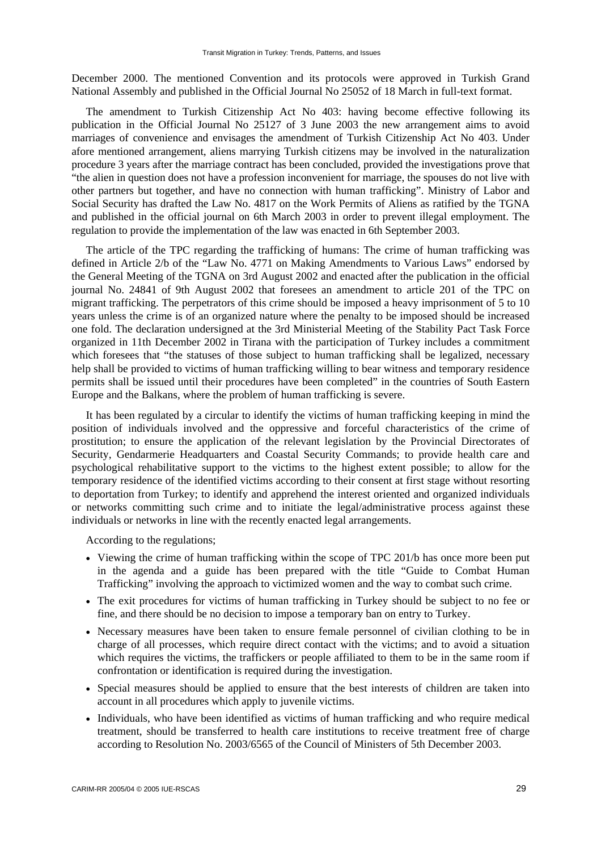December 2000. The mentioned Convention and its protocols were approved in Turkish Grand National Assembly and published in the Official Journal No 25052 of 18 March in full-text format.

The amendment to Turkish Citizenship Act No 403: having become effective following its publication in the Official Journal No 25127 of 3 June 2003 the new arrangement aims to avoid marriages of convenience and envisages the amendment of Turkish Citizenship Act No 403. Under afore mentioned arrangement, aliens marrying Turkish citizens may be involved in the naturalization procedure 3 years after the marriage contract has been concluded, provided the investigations prove that "the alien in question does not have a profession inconvenient for marriage, the spouses do not live with other partners but together, and have no connection with human trafficking". Ministry of Labor and Social Security has drafted the Law No. 4817 on the Work Permits of Aliens as ratified by the TGNA and published in the official journal on 6th March 2003 in order to prevent illegal employment. The regulation to provide the implementation of the law was enacted in 6th September 2003.

The article of the TPC regarding the trafficking of humans: The crime of human trafficking was defined in Article 2/b of the "Law No. 4771 on Making Amendments to Various Laws" endorsed by the General Meeting of the TGNA on 3rd August 2002 and enacted after the publication in the official journal No. 24841 of 9th August 2002 that foresees an amendment to article 201 of the TPC on migrant trafficking. The perpetrators of this crime should be imposed a heavy imprisonment of 5 to 10 years unless the crime is of an organized nature where the penalty to be imposed should be increased one fold. The declaration undersigned at the 3rd Ministerial Meeting of the Stability Pact Task Force organized in 11th December 2002 in Tirana with the participation of Turkey includes a commitment which foresees that "the statuses of those subject to human trafficking shall be legalized, necessary help shall be provided to victims of human trafficking willing to bear witness and temporary residence permits shall be issued until their procedures have been completed" in the countries of South Eastern Europe and the Balkans, where the problem of human trafficking is severe.

It has been regulated by a circular to identify the victims of human trafficking keeping in mind the position of individuals involved and the oppressive and forceful characteristics of the crime of prostitution; to ensure the application of the relevant legislation by the Provincial Directorates of Security, Gendarmerie Headquarters and Coastal Security Commands; to provide health care and psychological rehabilitative support to the victims to the highest extent possible; to allow for the temporary residence of the identified victims according to their consent at first stage without resorting to deportation from Turkey; to identify and apprehend the interest oriented and organized individuals or networks committing such crime and to initiate the legal/administrative process against these individuals or networks in line with the recently enacted legal arrangements.

According to the regulations;

- Viewing the crime of human trafficking within the scope of TPC 201/b has once more been put in the agenda and a guide has been prepared with the title "Guide to Combat Human Trafficking" involving the approach to victimized women and the way to combat such crime.
- The exit procedures for victims of human trafficking in Turkey should be subject to no fee or fine, and there should be no decision to impose a temporary ban on entry to Turkey.
- Necessary measures have been taken to ensure female personnel of civilian clothing to be in charge of all processes, which require direct contact with the victims; and to avoid a situation which requires the victims, the traffickers or people affiliated to them to be in the same room if confrontation or identification is required during the investigation.
- Special measures should be applied to ensure that the best interests of children are taken into account in all procedures which apply to juvenile victims.
- Individuals, who have been identified as victims of human trafficking and who require medical treatment, should be transferred to health care institutions to receive treatment free of charge according to Resolution No. 2003/6565 of the Council of Ministers of 5th December 2003.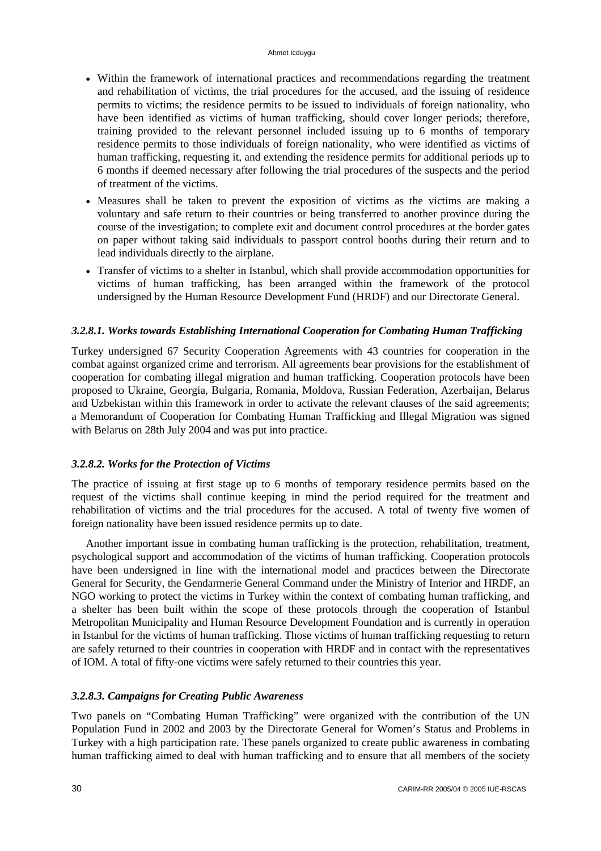- Within the framework of international practices and recommendations regarding the treatment and rehabilitation of victims, the trial procedures for the accused, and the issuing of residence permits to victims; the residence permits to be issued to individuals of foreign nationality, who have been identified as victims of human trafficking, should cover longer periods; therefore, training provided to the relevant personnel included issuing up to 6 months of temporary residence permits to those individuals of foreign nationality, who were identified as victims of human trafficking, requesting it, and extending the residence permits for additional periods up to 6 months if deemed necessary after following the trial procedures of the suspects and the period of treatment of the victims.
- Measures shall be taken to prevent the exposition of victims as the victims are making a voluntary and safe return to their countries or being transferred to another province during the course of the investigation; to complete exit and document control procedures at the border gates on paper without taking said individuals to passport control booths during their return and to lead individuals directly to the airplane.
- Transfer of victims to a shelter in Istanbul, which shall provide accommodation opportunities for victims of human trafficking, has been arranged within the framework of the protocol undersigned by the Human Resource Development Fund (HRDF) and our Directorate General.

# *3.2.8.1. Works towards Establishing International Cooperation for Combating Human Trafficking*

Turkey undersigned 67 Security Cooperation Agreements with 43 countries for cooperation in the combat against organized crime and terrorism. All agreements bear provisions for the establishment of cooperation for combating illegal migration and human trafficking. Cooperation protocols have been proposed to Ukraine, Georgia, Bulgaria, Romania, Moldova, Russian Federation, Azerbaijan, Belarus and Uzbekistan within this framework in order to activate the relevant clauses of the said agreements; a Memorandum of Cooperation for Combating Human Trafficking and Illegal Migration was signed with Belarus on 28th July 2004 and was put into practice.

# *3.2.8.2. Works for the Protection of Victims*

The practice of issuing at first stage up to 6 months of temporary residence permits based on the request of the victims shall continue keeping in mind the period required for the treatment and rehabilitation of victims and the trial procedures for the accused. A total of twenty five women of foreign nationality have been issued residence permits up to date.

Another important issue in combating human trafficking is the protection, rehabilitation, treatment, psychological support and accommodation of the victims of human trafficking. Cooperation protocols have been undersigned in line with the international model and practices between the Directorate General for Security, the Gendarmerie General Command under the Ministry of Interior and HRDF, an NGO working to protect the victims in Turkey within the context of combating human trafficking, and a shelter has been built within the scope of these protocols through the cooperation of Istanbul Metropolitan Municipality and Human Resource Development Foundation and is currently in operation in Istanbul for the victims of human trafficking. Those victims of human trafficking requesting to return are safely returned to their countries in cooperation with HRDF and in contact with the representatives of IOM. A total of fifty-one victims were safely returned to their countries this year.

# *3.2.8.3. Campaigns for Creating Public Awareness*

Two panels on "Combating Human Trafficking" were organized with the contribution of the UN Population Fund in 2002 and 2003 by the Directorate General for Women's Status and Problems in Turkey with a high participation rate. These panels organized to create public awareness in combating human trafficking aimed to deal with human trafficking and to ensure that all members of the society